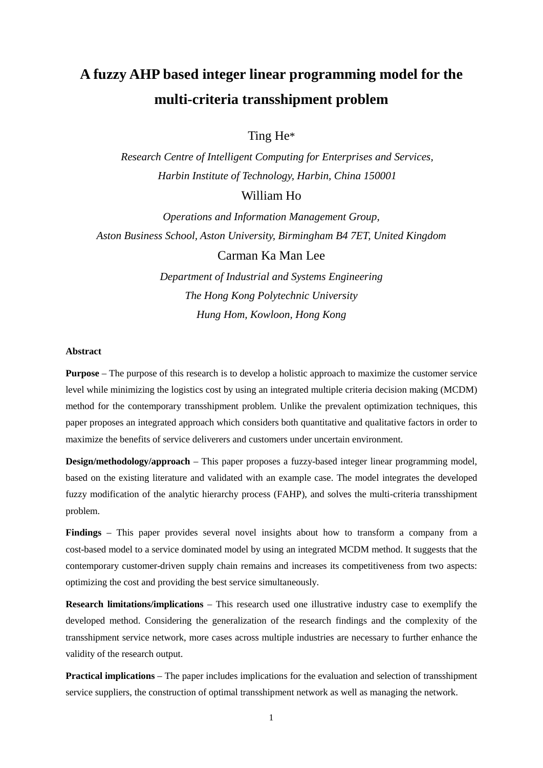## **A fuzzy AHP based integer linear programming model for the multi-criteria transshipment problem**

Ting He\*

*Research Centre of Intelligent Computing for Enterprises and Services, Harbin Institute of Technology, Harbin, China 150001*

## William Ho

*Operations and Information Management Group, Aston Business School, Aston University, Birmingham B4 7ET, United Kingdom*

### Carman Ka Man Lee

*Department of Industrial and Systems Engineering The Hong Kong Polytechnic University Hung Hom, Kowloon, Hong Kong*

#### **Abstract**

**Purpose** – The purpose of this research is to develop a holistic approach to maximize the customer service level while minimizing the logistics cost by using an integrated multiple criteria decision making (MCDM) method for the contemporary transshipment problem. Unlike the prevalent optimization techniques, this paper proposes an integrated approach which considers both quantitative and qualitative factors in order to maximize the benefits of service deliverers and customers under uncertain environment.

**Design/methodology/approach** – This paper proposes a fuzzy-based integer linear programming model, based on the existing literature and validated with an example case. The model integrates the developed fuzzy modification of the analytic hierarchy process (FAHP), and solves the multi-criteria transshipment problem.

**Findings** – This paper provides several novel insights about how to transform a company from a cost-based model to a service dominated model by using an integrated MCDM method. It suggests that the contemporary customer-driven supply chain remains and increases its competitiveness from two aspects: optimizing the cost and providing the best service simultaneously.

**Research limitations/implications** – This research used one illustrative industry case to exemplify the developed method. Considering the generalization of the research findings and the complexity of the transshipment service network, more cases across multiple industries are necessary to further enhance the validity of the research output.

**Practical implications** – The paper includes implications for the evaluation and selection of transshipment service suppliers, the construction of optimal transshipment network as well as managing the network.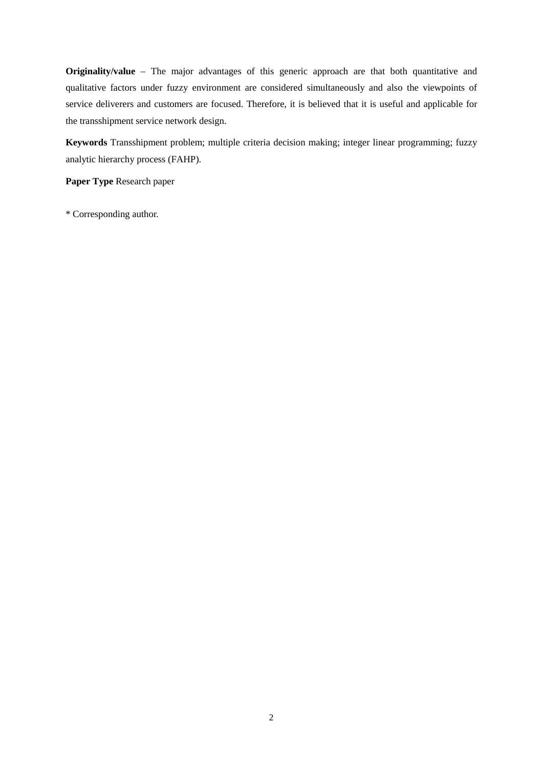**Originality/value** – The major advantages of this generic approach are that both quantitative and qualitative factors under fuzzy environment are considered simultaneously and also the viewpoints of service deliverers and customers are focused. Therefore, it is believed that it is useful and applicable for the transshipment service network design.

**Keywords** Transshipment problem; multiple criteria decision making; integer linear programming; fuzzy analytic hierarchy process (FAHP).

**Paper Type** Research paper

\* Corresponding author.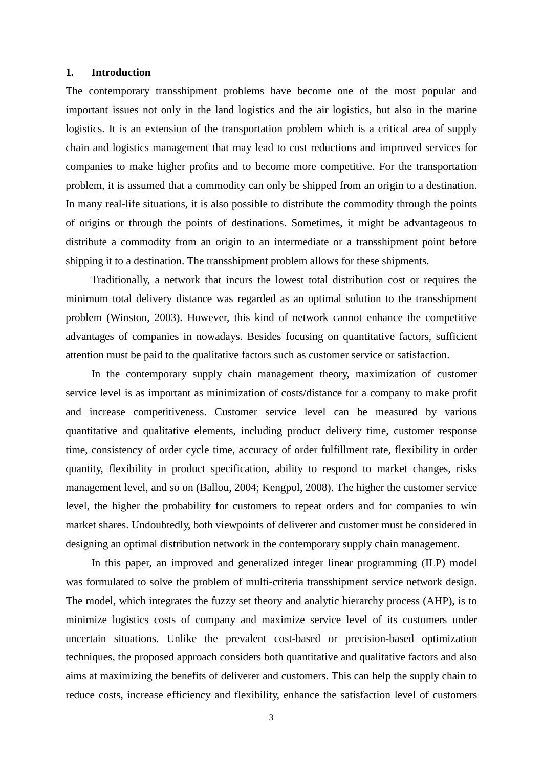#### **1. Introduction**

The contemporary transshipment problems have become one of the most popular and important issues not only in the land logistics and the air logistics, but also in the marine logistics. It is an extension of the transportation problem which is a critical area of supply chain and logistics management that may lead to cost reductions and improved services for companies to make higher profits and to become more competitive. For the transportation problem, it is assumed that a commodity can only be shipped from an origin to a destination. In many real-life situations, it is also possible to distribute the commodity through the points of origins or through the points of destinations. Sometimes, it might be advantageous to distribute a commodity from an origin to an intermediate or a transshipment point before shipping it to a destination. The transshipment problem allows for these shipments.

Traditionally, a network that incurs the lowest total distribution cost or requires the minimum total delivery distance was regarded as an optimal solution to the transshipment problem (Winston, 2003). However, this kind of network cannot enhance the competitive advantages of companies in nowadays. Besides focusing on quantitative factors, sufficient attention must be paid to the qualitative factors such as customer service or satisfaction.

In the contemporary supply chain management theory, maximization of customer service level is as important as minimization of costs/distance for a company to make profit and increase competitiveness. Customer service level can be measured by various quantitative and qualitative elements, including product delivery time, customer response time, consistency of order cycle time, accuracy of order fulfillment rate, flexibility in order quantity, flexibility in product specification, ability to respond to market changes, risks management level, and so on (Ballou, 2004; Kengpol, 2008). The higher the customer service level, the higher the probability for customers to repeat orders and for companies to win market shares. Undoubtedly, both viewpoints of deliverer and customer must be considered in designing an optimal distribution network in the contemporary supply chain management.

In this paper, an improved and generalized integer linear programming (ILP) model was formulated to solve the problem of multi-criteria transshipment service network design. The model, which integrates the fuzzy set theory and analytic hierarchy process (AHP), is to minimize logistics costs of company and maximize service level of its customers under uncertain situations. Unlike the prevalent cost-based or precision-based optimization techniques, the proposed approach considers both quantitative and qualitative factors and also aims at maximizing the benefits of deliverer and customers. This can help the supply chain to reduce costs, increase efficiency and flexibility, enhance the satisfaction level of customers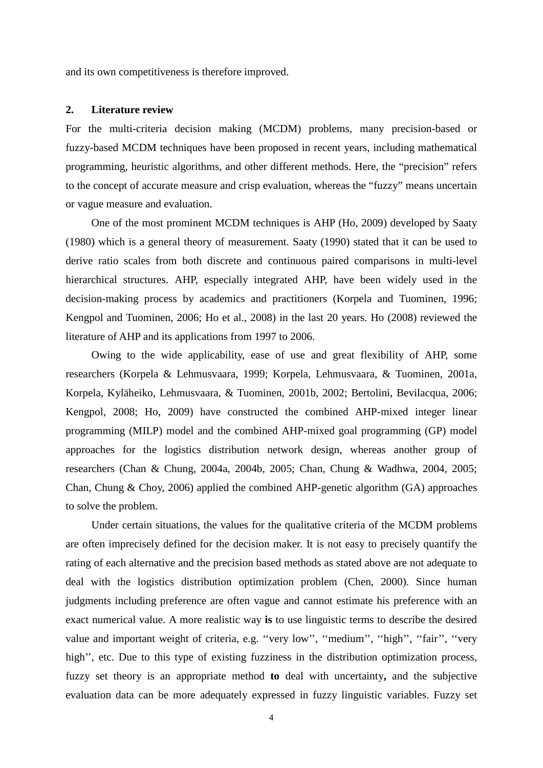and its own competitiveness is therefore improved.

#### **2. Literature review**

For the multi-criteria decision making (MCDM) problems, many precision-based or fuzzy-based MCDM techniques have been proposed in recent years, including mathematical programming, heuristic algorithms, and other different methods. Here, the "precision" refers to the concept of accurate measure and crisp evaluation, whereas the "fuzzy" means uncertain or vague measure and evaluation.

One of the most prominent MCDM techniques is AHP (Ho, 2009) developed by Saaty (1980) which is a general theory of measurement. Saaty (1990) stated that it can be used to derive ratio scales from both discrete and continuous paired comparisons in multi-level hierarchical structures. AHP, especially integrated AHP, have been widely used in the decision-making process by academics and practitioners (Korpela and Tuominen, 1996; Kengpol and Tuominen, 2006; Ho et al., 2008) in the last 20 years. Ho (2008) reviewed the literature of AHP and its applications from 1997 to 2006.

Owing to the wide applicability, ease of use and great flexibility of AHP, some researchers (Korpela & Lehmusvaara, 1999; Korpela, Lehmusvaara, & Tuominen, 2001a, Korpela, Kyläheiko, Lehmusvaara, & Tuominen, 2001b, 2002; Bertolini, Bevilacqua, 2006; Kengpol, 2008; Ho, 2009) have constructed the combined AHP-mixed integer linear programming (MILP) model and the combined AHP-mixed goal programming (GP) model approaches for the logistics distribution network design, whereas another group of researchers (Chan & Chung, 2004a, 2004b, 2005; Chan, Chung & Wadhwa, 2004, 2005; Chan, Chung & Choy, 2006) applied the combined AHP-genetic algorithm (GA) approaches to solve the problem.

Under certain situations, the values for the qualitative criteria of the MCDM problems are often imprecisely defined for the decision maker. It is not easy to precisely quantify the rating of each alternative and the precision based methods as stated above are not adequate to deal with the logistics distribution optimization problem (Chen, 2000). Since human judgments including preference are often vague and cannot estimate his preference with an exact numerical value. A more realistic way **is** to use linguistic terms to describe the desired value and important weight of criteria, e.g. "very low", "medium", "high", "fair", "very high", etc. Due to this type of existing fuzziness in the distribution optimization process, fuzzy set theory is an appropriate method **to** deal with uncertainty**,** and the subjective evaluation data can be more adequately expressed in fuzzy linguistic variables. Fuzzy set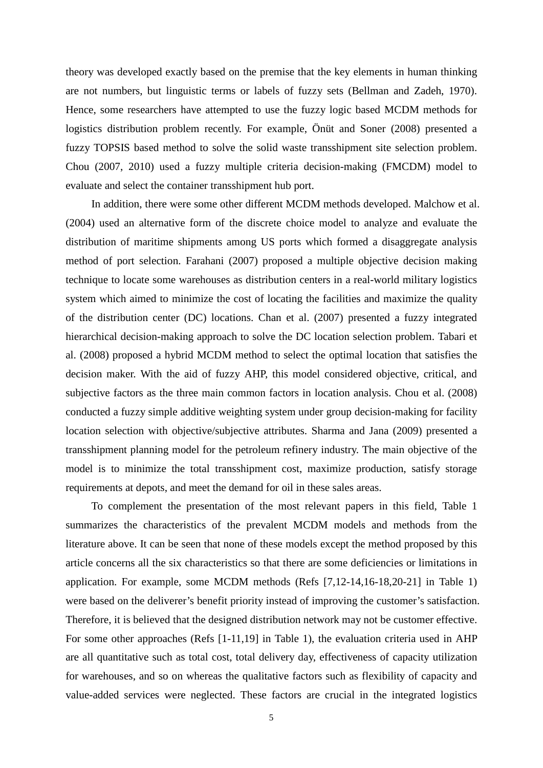theory was developed exactly based on the premise that the key elements in human thinking are not numbers, but linguistic terms or labels of fuzzy sets (Bellman and Zadeh, 1970). Hence, some researchers have attempted to use the fuzzy logic based MCDM methods for logistics distribution problem recently. For example, Önüt and Soner (2008) presented a fuzzy TOPSIS based method to solve the solid waste transshipment site selection problem. Chou (2007, 2010) used a fuzzy multiple criteria decision-making (FMCDM) model to evaluate and select the container transshipment hub port.

In addition, there were some other different MCDM methods developed. Malchow et al. (2004) used an alternative form of the discrete choice model to analyze and evaluate the distribution of maritime shipments among US ports which formed a disaggregate analysis method of port selection. Farahani (2007) proposed a multiple objective decision making technique to locate some warehouses as distribution centers in a real-world military logistics system which aimed to minimize the cost of locating the facilities and maximize the quality of the distribution center (DC) locations. Chan et al. (2007) presented a fuzzy integrated hierarchical decision-making approach to solve the DC location selection problem. Tabari et al. (2008) proposed a hybrid MCDM method to select the optimal location that satisfies the decision maker. With the aid of fuzzy AHP, this model considered objective, critical, and subjective factors as the three main common factors in location analysis. Chou et al. (2008) conducted a [fuzzy simple additive weighting system under group decision-making for facility](http://www.sciencedirect.com/science?_ob=ArticleURL&_udi=B6VCT-4NR18BR-6&_user=9368376&_coverDate=08%2F16%2F2008&_alid=1709098708&_rdoc=11&_fmt=high&_orig=search&_origin=search&_zone=rslt_list_item&_cdi=5963&_sort=d&_st=5&_docanchor=&_ct=15&_acct=C000056861&_version=1&_urlVersion=0&_userid=9368376&md5=b00e75482ab63bd0d894c1a51f7ba985&searchtype=a)  [location selection with objective/subjective attributes.](http://www.sciencedirect.com/science?_ob=ArticleURL&_udi=B6VCT-4NR18BR-6&_user=9368376&_coverDate=08%2F16%2F2008&_alid=1709098708&_rdoc=11&_fmt=high&_orig=search&_origin=search&_zone=rslt_list_item&_cdi=5963&_sort=d&_st=5&_docanchor=&_ct=15&_acct=C000056861&_version=1&_urlVersion=0&_userid=9368376&md5=b00e75482ab63bd0d894c1a51f7ba985&searchtype=a) Sharma and Jana (2009) presented a transshipment planning model for the petroleum refinery industry. The main objective of the model is to minimize the total transshipment cost, maximize production, satisfy storage requirements at depots, and meet the demand for oil in these sales areas.

To complement the presentation of the most relevant papers in this field, Table 1 summarizes the characteristics of the prevalent MCDM models and methods from the literature above. It can be seen that none of these models except the method proposed by this article concerns all the six characteristics so that there are some deficiencies or limitations in application. For example, some MCDM methods (Refs [7,12-14,16-18,20-21] in Table 1) were based on the deliverer's benefit priority instead of improving the customer's satisfaction. Therefore, it is believed that the designed distribution network may not be customer effective. For some other approaches (Refs [1-11,19] in Table 1), the evaluation criteria used in AHP are all quantitative such as total cost, total delivery day, effectiveness of capacity utilization for warehouses, and so on whereas the qualitative factors such as flexibility of capacity and value-added services were neglected. These factors are crucial in the integrated logistics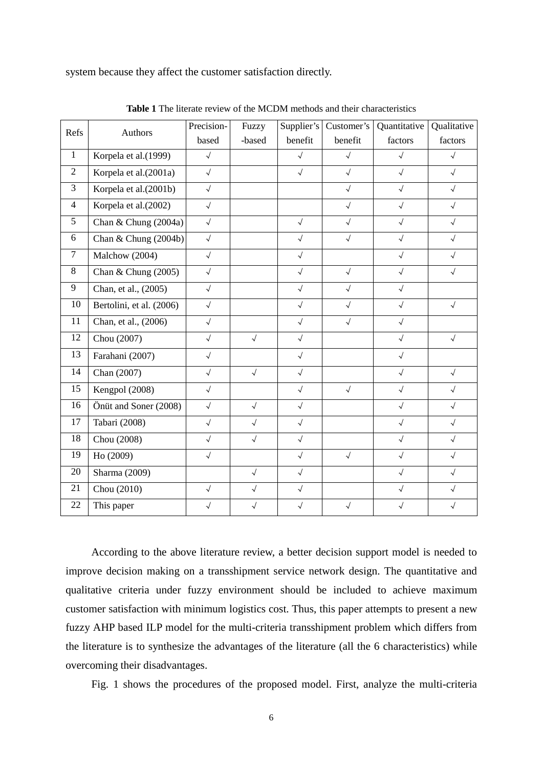system because they affect the customer satisfaction directly.

| Refs           | Authors                  | Precision-   | Fuzzy      | Supplier's | Customer's   | Quantitative | Qualitative  |
|----------------|--------------------------|--------------|------------|------------|--------------|--------------|--------------|
|                |                          | based        | -based     | benefit    | benefit      | factors      | factors      |
| $\mathbf{1}$   | Korpela et al.(1999)     | $\sqrt{ }$   |            | $\sqrt{ }$ | $\sqrt{2}$   | $\sqrt{2}$   | $\sqrt{ }$   |
| $\overline{2}$ | Korpela et al.(2001a)    | $\sqrt{ }$   |            | $\sqrt{ }$ | $\sqrt{ }$   | $\sqrt{ }$   | $\sqrt{ }$   |
| $\overline{3}$ | Korpela et al.(2001b)    | $\sqrt{ }$   |            |            | $\sqrt{2}$   | $\sqrt{2}$   | $\sqrt{ }$   |
| $\overline{4}$ | Korpela et al.(2002)     | $\sqrt{ }$   |            |            | $\sqrt{2}$   | $\sqrt{ }$   | $\sqrt{ }$   |
| 5              | Chan & Chung (2004a)     | $\sqrt{ }$   |            | $\sqrt{ }$ | $\sqrt{2}$   | $\sqrt{ }$   | $\sqrt{}$    |
| 6              | Chan & Chung (2004b)     | $\sqrt{ }$   |            | $\sqrt{ }$ | $\sqrt{ }$   | $\sqrt{ }$   | $\sqrt{ }$   |
| $\overline{7}$ | Malchow (2004)           | $\sqrt{ }$   |            | $\sqrt{ }$ |              | $\sqrt{ }$   | $\sqrt{ }$   |
| 8              | Chan & Chung (2005)      | $\sqrt{ }$   |            | $\sqrt{ }$ | $\sqrt{ }$   | $\sqrt{2}$   | $\sqrt{ }$   |
| 9              | Chan, et al., (2005)     | $\sqrt{ }$   |            | $\sqrt{ }$ | $\sqrt{ }$   | $\sqrt{ }$   |              |
| 10             | Bertolini, et al. (2006) | $\sqrt{ }$   |            | $\sqrt{ }$ | $\sqrt{2}$   | $\sqrt{2}$   | $\sqrt{ }$   |
| 11             | Chan, et al., (2006)     | $\sqrt{ }$   |            | $\sqrt{ }$ | $\sqrt{ }$   | $\sqrt{ }$   |              |
| 12             | Chou (2007)              | $\checkmark$ | $\sqrt{ }$ | $\sqrt{ }$ |              | $\sqrt{}$    | $\sqrt{ }$   |
| 13             | Farahani (2007)          | $\checkmark$ |            | $\sqrt{ }$ |              | $\sqrt{ }$   |              |
| 14             | Chan (2007)              | $\sqrt{ }$   | $\sqrt{ }$ | $\sqrt{ }$ |              | $\sqrt{ }$   | $\sqrt{ }$   |
| 15             | Kengpol (2008)           | $\sqrt{ }$   |            | $\sqrt{ }$ | $\sqrt{ }$   | $\sqrt{ }$   | $\sqrt{ }$   |
| 16             | Önüt and Soner (2008)    | $\sqrt{ }$   | $\sqrt{ }$ | $\sqrt{ }$ |              | $\sqrt{2}$   | $\sqrt{ }$   |
| 17             | Tabari (2008)            | $\checkmark$ | $\sqrt{ }$ | $\sqrt{ }$ |              |              | $\checkmark$ |
| 18             | Chou (2008)              | $\sqrt{ }$   | $\sqrt{ }$ | $\sqrt{ }$ |              | $\sqrt{ }$   | $\sqrt{ }$   |
| 19             | Ho (2009)                | $\sqrt{ }$   |            | $\sqrt{ }$ | $\checkmark$ | $\sqrt{ }$   | $\sqrt{}$    |
| 20             | Sharma (2009)            |              | $\sqrt{ }$ | $\sqrt{ }$ |              | $\sqrt{ }$   | $\sqrt{2}$   |
| 21             | Chou (2010)              | $\sqrt{ }$   | $\sqrt{ }$ | $\sqrt{ }$ |              | $\sqrt{ }$   | $\sqrt{ }$   |
| 22             | This paper               | $\sqrt{ }$   | $\sqrt{ }$ | $\sqrt{ }$ | $\sqrt{2}$   | $\sqrt{2}$   | $\sqrt{ }$   |

**Table 1** The literate review of the MCDM methods and their characteristics

According to the above literature review, a better decision support model is needed to improve decision making on a transshipment service network design. The quantitative and qualitative criteria under fuzzy environment should be included to achieve maximum customer satisfaction with minimum logistics cost. Thus, this paper attempts to present a new fuzzy AHP based ILP model for the multi-criteria transshipment problem which differs from the literature is to synthesize the advantages of the literature (all the 6 characteristics) while overcoming their disadvantages.

Fig. 1 shows the procedures of the proposed model. First, analyze the multi-criteria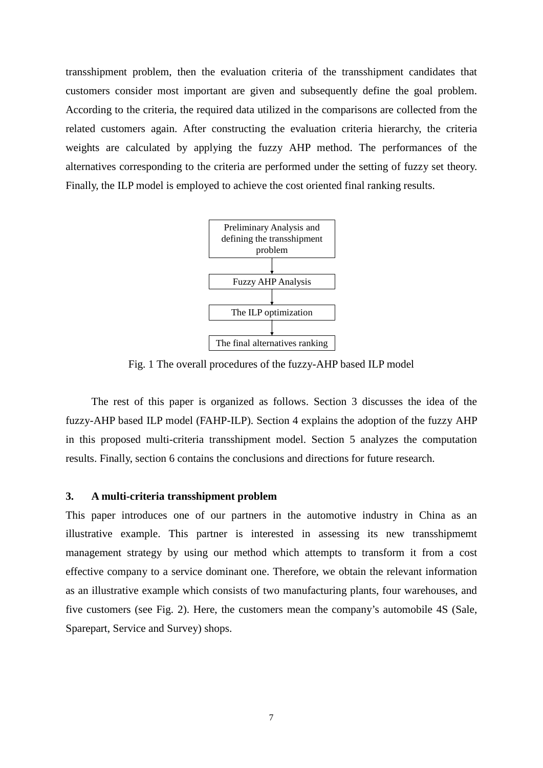transshipment problem, then the evaluation criteria of the transshipment candidates that customers consider most important are given and subsequently define the goal problem. According to the criteria, the required data utilized in the comparisons are collected from the related customers again. After constructing the evaluation criteria hierarchy, the criteria weights are calculated by applying the fuzzy AHP method. The performances of the alternatives corresponding to the criteria are performed under the setting of fuzzy set theory. Finally, the ILP model is employed to achieve the cost oriented final ranking results.



Fig. 1 The overall procedures of the fuzzy-AHP based ILP model

The rest of this paper is organized as follows. Section 3 discusses the idea of the fuzzy-AHP based ILP model (FAHP-ILP). Section 4 explains the adoption of the fuzzy AHP in this proposed multi-criteria transshipment model. Section 5 analyzes the computation results. Finally, section 6 contains the conclusions and directions for future research.

#### **3. A multi-criteria transshipment problem**

This paper introduces one of our partners in the automotive industry in China as an illustrative example. This partner is interested in assessing its new transshipmemt management strategy by using our method which attempts to transform it from a cost effective company to a service dominant one. Therefore, we obtain the relevant information as an illustrative example which consists of two manufacturing plants, four warehouses, and five customers (see Fig. 2). Here, the customers mean the company's automobile 4S (Sale, Sparepart, Service and Survey) shops.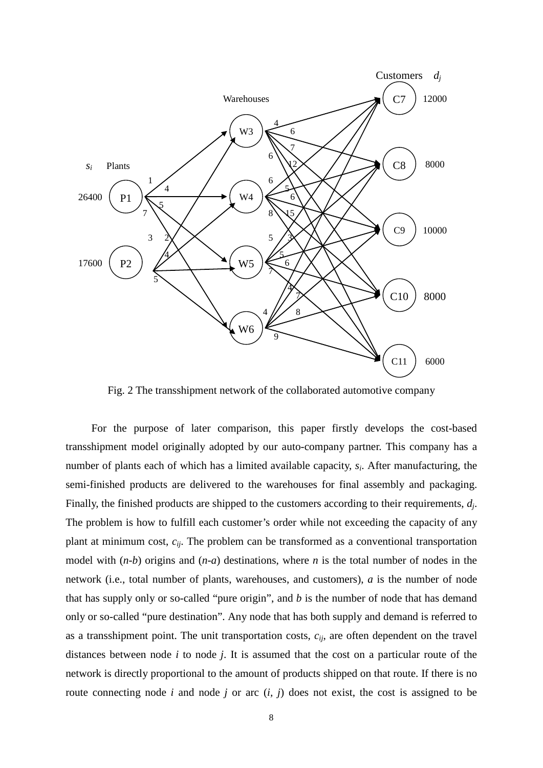

Fig. 2 The transshipment network of the collaborated automotive company

For the purpose of later comparison, this paper firstly develops the cost-based transshipment model originally adopted by our auto-company partner. This company has a number of plants each of which has a limited available capacity, *si*. After manufacturing, the semi-finished products are delivered to the warehouses for final assembly and packaging. Finally, the finished products are shipped to the customers according to their requirements, *dj*. The problem is how to fulfill each customer's order while not exceeding the capacity of any plant at minimum cost, *cij*. The problem can be transformed as a conventional transportation model with (*n-b*) origins and (*n-a*) destinations, where *n* is the total number of nodes in the network (i.e., total number of plants, warehouses, and customers), *a* is the number of node that has supply only or so-called "pure origin", and *b* is the number of node that has demand only or so-called "pure destination". Any node that has both supply and demand is referred to as a transshipment point. The unit transportation costs, *cij*, are often dependent on the travel distances between node *i* to node *j*. It is assumed that the cost on a particular route of the network is directly proportional to the amount of products shipped on that route. If there is no route connecting node  $i$  and node  $j$  or arc  $(i, j)$  does not exist, the cost is assigned to be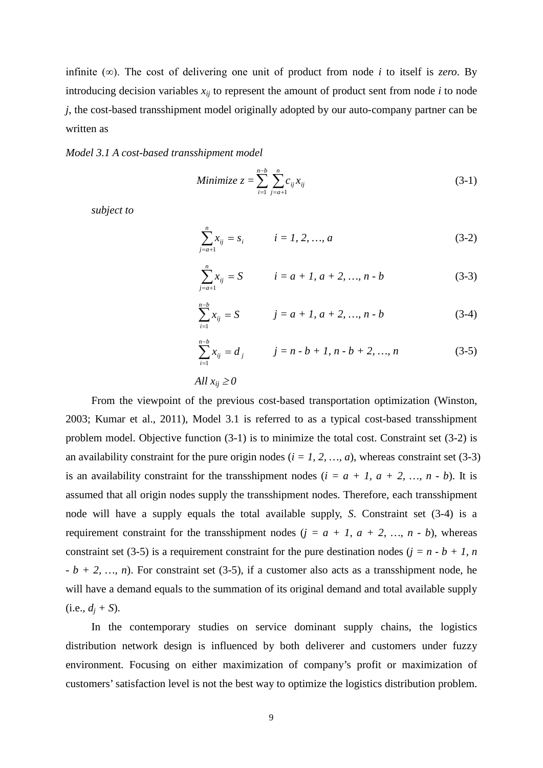infinite (∞). The cost of delivering one unit of product from node *i* to itself is *zero*. By introducing decision variables  $x_{ij}$  to represent the amount of product sent from node  $i$  to node *j*, the cost-based transshipment model originally adopted by our auto-company partner can be written as

#### *Model 3.1 A cost-based transshipment model*

Minimize 
$$
z = \sum_{i=1}^{n-b} \sum_{j=a+1}^{n} c_{ij} x_{ij}
$$
 (3-1)

*subject to*

$$
\sum_{j=a+1}^{n} x_{ij} = s_i \qquad i = 1, 2, ..., a \qquad (3-2)
$$

$$
\sum_{j=a+1}^{n} x_{ij} = S \qquad i = a+1, a+2, ..., n-b \qquad (3-3)
$$

$$
\sum_{i=1}^{n-b} x_{ij} = S \qquad j = a + 1, a + 2, ..., n - b \qquad (3-4)
$$

$$
\sum_{i=1}^{n-b} x_{ij} = d_j \qquad j = n - b + 1, n - b + 2, ..., n \qquad (3-5)
$$

$$
All x_{ij} \geq 0
$$

From the viewpoint of the previous cost-based transportation optimization (Winston, 2003; Kumar et al., 2011), Model 3.1 is referred to as a typical cost-based transshipment problem model. Objective function (3-1) is to minimize the total cost. Constraint set (3-2) is an availability constraint for the pure origin nodes  $(i = 1, 2, ..., a)$ , whereas constraint set (3-3) is an availability constraint for the transshipment nodes  $(i = a + 1, a + 2, ..., n - b)$ . It is assumed that all origin nodes supply the transshipment nodes. Therefore, each transshipment node will have a supply equals the total available supply, *S*. Constraint set (3-4) is a requirement constraint for the transshipment nodes  $(j = a + 1, a + 2, ..., n - b)$ , whereas constraint set (3-5) is a requirement constraint for the pure destination nodes ( $j = n - b + 1$ , n *- b + 2, …, n*). For constraint set (3-5), if a customer also acts as a transshipment node, he will have a demand equals to the summation of its original demand and total available supply  $(i.e., d<sub>j</sub> + S).$ 

In the contemporary studies on service dominant supply chains, the logistics distribution network design is influenced by both deliverer and customers under fuzzy environment. Focusing on either maximization of company's profit or maximization of customers' satisfaction level is not the best way to optimize the logistics distribution problem.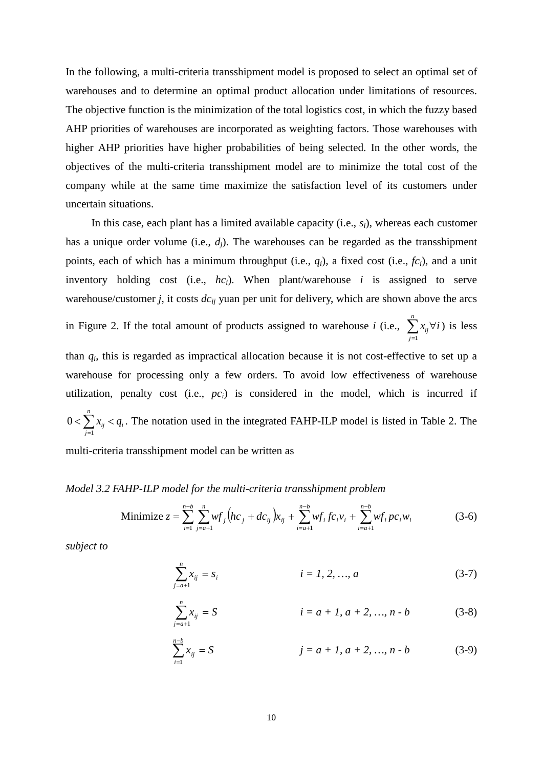In the following, a multi-criteria transshipment model is proposed to select an optimal set of warehouses and to determine an optimal product allocation under limitations of resources. The objective function is the minimization of the total logistics cost, in which the fuzzy based AHP priorities of warehouses are incorporated as weighting factors. Those warehouses with higher AHP priorities have higher probabilities of being selected. In the other words, the objectives of the multi-criteria transshipment model are to minimize the total cost of the company while at the same time maximize the satisfaction level of its customers under uncertain situations.

In this case, each plant has a limited available capacity (i.e., *si*), whereas each customer has a unique order volume (i.e., *dj*). The warehouses can be regarded as the transshipment points, each of which has a minimum throughput (i.e., *qi*), a fixed cost (i.e., *fci*), and a unit inventory holding cost (i.e.,  $hc_i$ ). When plant/warehouse *i* is assigned to serve warehouse/customer *j*, it costs *dcij* yuan per unit for delivery, which are shown above the arcs

in Figure 2. If the total amount of products assigned to warehouse *i* (i.e., 1 *n ij j*  $x_{ii} \forall i$  $\sum_{j=1} x_{ij} \forall i$ ) is less

than *qi*, this is regarded as impractical allocation because it is not cost-effective to set up a warehouse for processing only a few orders. To avoid low effectiveness of warehouse utilization, penalty cost (i.e., *pci*) is considered in the model, which is incurred if 1 0 *n*  $ij$   $\sim$   $\mathbf{y}_i$ *j*  $x_{ii}$  < q  $\langle \sum_{i=1} x_{ij} \rangle \langle q_i|$ . The notation used in the integrated FAHP-ILP model is listed in Table 2. The multi-criteria transshipment model can be written as

#### *Model 3.2 FAHP-ILP model for the multi-criteria transshipment problem*

Minimize 
$$
z = \sum_{i=1}^{n-b} \sum_{j=a+1}^{n} wf_j \left(hc_j + dc_{ij}\right) x_{ij} + \sum_{i=a+1}^{n-b} wf_i fc_iv_i + \sum_{i=a+1}^{n-b} wf_i pc_i w_i
$$
 (3-6)

*subject to*

$$
\sum_{j=a+1}^{n} x_{ij} = s_i \qquad i = 1, 2, ..., a \qquad (3-7)
$$

$$
\sum_{j=a+1}^{n} x_{ij} = S \qquad i = a+1, a+2, ..., n-b \qquad (3-8)
$$

$$
\sum_{i=1}^{n-b} x_{ij} = S \qquad j = a + 1, a + 2, ..., n - b \qquad (3-9)
$$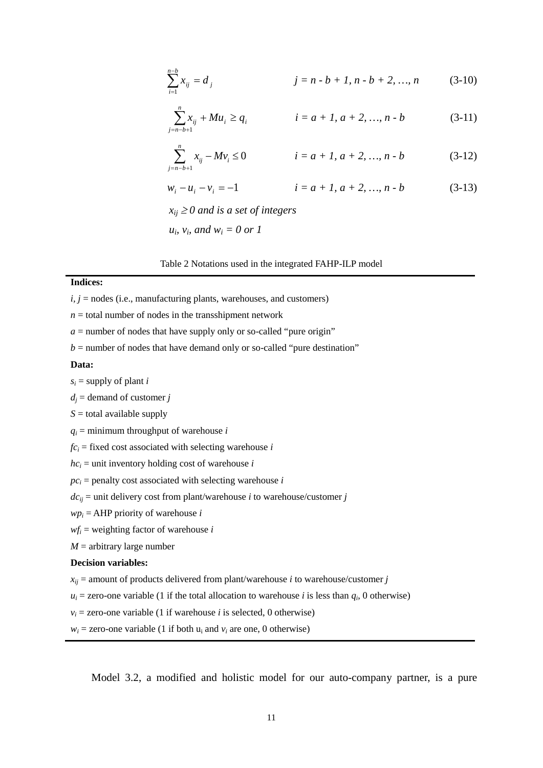$$
\sum_{i=1}^{n-b} x_{ij} = d_j \qquad j = n - b + 1, n - b + 2, ..., n \qquad (3-10)
$$

$$
\sum_{j=n-b+1}^{n} x_{ij} + M u_i \ge q_i \qquad i = a+1, a+2, ..., n-b \qquad (3-11)
$$

$$
\sum_{j=n-b+1}^{n} x_{ij} - Mv_i \le 0 \qquad i = a+1, a+2, ..., n-b \qquad (3-12)
$$

$$
w_i - u_i - v_i = -1 \qquad \qquad i = a + 1, \, a + 2, \, \dots, \, n - b \tag{3-13}
$$

 $x_{ij} \geq 0$  and is a set of integers  $u_i$ ,  $v_i$ , and  $w_i = 0$  or 1

#### Table 2 Notations used in the integrated FAHP-ILP model

#### **Indices:**

 $i, j$  = nodes (i.e., manufacturing plants, warehouses, and customers)

 $n =$  total number of nodes in the transshipment network

 $a =$  number of nodes that have supply only or so-called "pure origin"

 $b =$  number of nodes that have demand only or so-called "pure destination"

#### **Data:**

 $s_i$  = supply of plant *i* 

 $d_i$  = demand of customer *j* 

 $S =$  total available supply

 $q_i$  = minimum throughput of warehouse *i* 

 $fc<sub>i</sub>$  = fixed cost associated with selecting warehouse *i* 

 $hc<sub>i</sub> =$  unit inventory holding cost of warehouse *i* 

 $pc<sub>i</sub>$  = penalty cost associated with selecting warehouse *i* 

 $dc_{ij}$  = unit delivery cost from plant/warehouse *i* to warehouse/customer *j* 

 $wp<sub>i</sub> = AHP$  priority of warehouse *i* 

 $wf<sub>i</sub>$  = weighting factor of warehouse *i* 

 $M =$ arbitrary large number

#### **Decision variables:**

 $x_{ij}$  = amount of products delivered from plant/warehouse *i* to warehouse/customer *j* 

 $u_i$  = zero-one variable (1 if the total allocation to warehouse *i* is less than  $q_i$ , 0 otherwise)

 $v_i$  = zero-one variable (1 if warehouse *i* is selected, 0 otherwise)

 $w_i$  = zero-one variable (1 if both  $u_i$  and  $v_i$  are one, 0 otherwise)

Model 3.2, a modified and holistic model for our auto-company partner, is a pure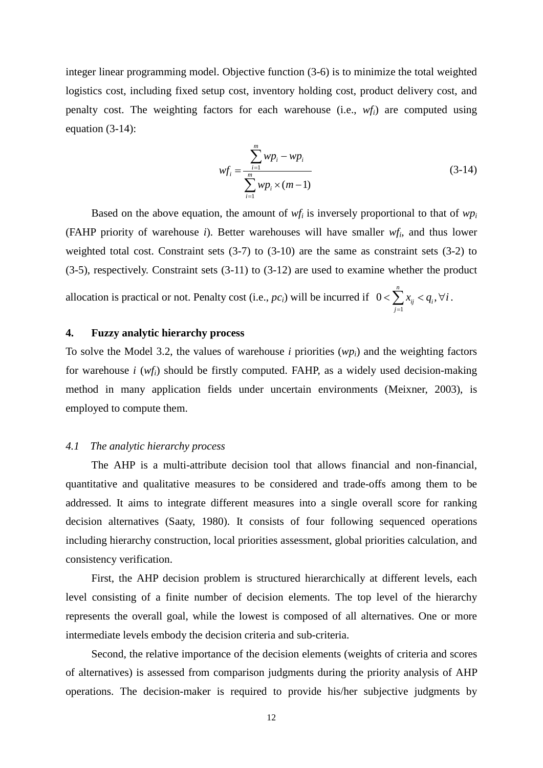integer linear programming model. Objective function (3-6) is to minimize the total weighted logistics cost, including fixed setup cost, inventory holding cost, product delivery cost, and penalty cost. The weighting factors for each warehouse (i.e., *wfi*) are computed using equation (3-14):

$$
wf_i = \frac{\sum_{i=1}^{m} wp_i - wp_i}{\sum_{i=1}^{m} wp_i \times (m-1)}
$$
(3-14)

1

*j*

Based on the above equation, the amount of  $wf<sub>i</sub>$  is inversely proportional to that of  $wp<sub>i</sub>$ (FAHP priority of warehouse *i*). Better warehouses will have smaller *wfi*, and thus lower weighted total cost. Constraint sets (3-7) to (3-10) are the same as constraint sets (3-2) to (3-5), respectively. Constraint sets (3-11) to (3-12) are used to examine whether the product allocation is practical or not. Penalty cost (i.e., *pci*) will be incurred if  $0 < \sum x_{ii} < q_i$ *n*  $y_i - y_i$  $x_{ii} < q_i, \forall i$  $\langle \sum_{j=1}^x x_{ij} \langle q_i, \forall i. \rangle$ 

#### **4. Fuzzy analytic hierarchy process**

To solve the Model 3.2, the values of warehouse *i* priorities (*wpi*) and the weighting factors for warehouse *i* (*wfi*) should be firstly computed. FAHP, as a widely used decision-making method in many application fields under uncertain environments (Meixner, 2003), is employed to compute them.

#### *4.1 The analytic hierarchy process*

The AHP is a multi-attribute decision tool that allows financial and non-financial, quantitative and qualitative measures to be considered and trade-offs among them to be addressed. It aims to integrate different measures into a single overall score for ranking decision alternatives (Saaty, 1980). It consists of four following sequenced operations including hierarchy construction, local priorities assessment, global priorities calculation, and consistency verification.

First, the AHP decision problem is structured hierarchically at different levels, each level consisting of a finite number of decision elements. The top level of the hierarchy represents the overall goal, while the lowest is composed of all alternatives. One or more intermediate levels embody the decision criteria and sub-criteria.

Second, the relative importance of the decision elements (weights of criteria and scores of alternatives) is assessed from comparison judgments during the priority analysis of AHP operations. The decision-maker is required to provide his/her subjective judgments by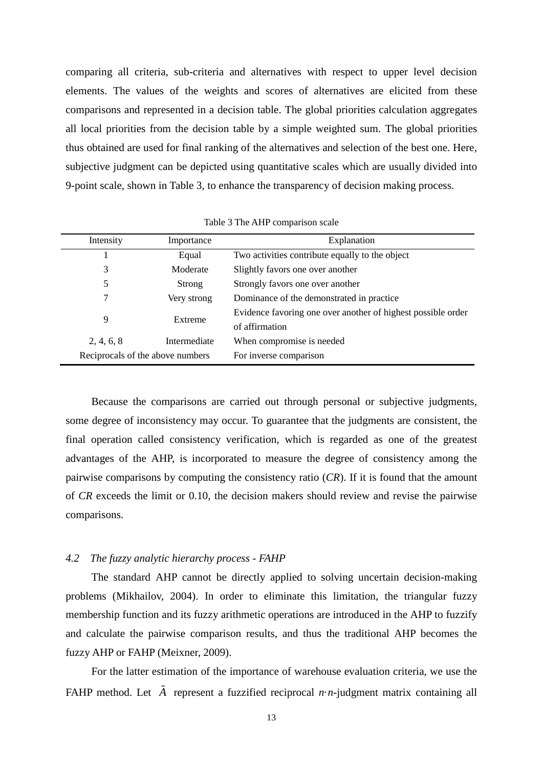comparing all criteria, sub-criteria and alternatives with respect to upper level decision elements. The values of the weights and scores of alternatives are elicited from these comparisons and represented in a decision table. The global priorities calculation aggregates all local priorities from the decision table by a simple weighted sum. The global priorities thus obtained are used for final ranking of the alternatives and selection of the best one. Here, subjective judgment can be depicted using quantitative scales which are usually divided into 9-point scale, shown in Table 3, to enhance the transparency of decision making process.

| Intensity                        | Importance   | Explanation                                                  |  |  |
|----------------------------------|--------------|--------------------------------------------------------------|--|--|
|                                  | Equal        | Two activities contribute equally to the object              |  |  |
| 3                                | Moderate     | Slightly favors one over another                             |  |  |
| 5                                | Strong       | Strongly favors one over another                             |  |  |
| 7                                | Very strong  | Dominance of the demonstrated in practice                    |  |  |
| 9                                | Extreme      | Evidence favoring one over another of highest possible order |  |  |
|                                  |              | of affirmation                                               |  |  |
| 2, 4, 6, 8                       | Intermediate | When compromise is needed                                    |  |  |
| Reciprocals of the above numbers |              | For inverse comparison                                       |  |  |

Table 3 The AHP comparison scale

Because the comparisons are carried out through personal or subjective judgments, some degree of inconsistency may occur. To guarantee that the judgments are consistent, the final operation called consistency verification, which is regarded as one of the greatest advantages of the AHP, is incorporated to measure the degree of consistency among the pairwise comparisons by computing the consistency ratio (*CR*). If it is found that the amount of *CR* exceeds the limit or 0.10, the decision makers should review and revise the pairwise comparisons.

#### *4.2 The fuzzy analytic hierarchy process - FAHP*

The standard AHP cannot be directly applied to solving uncertain decision-making problems (Mikhailov, 2004). In order to eliminate this limitation, the triangular fuzzy membership function and its fuzzy arithmetic operations are introduced in the AHP to fuzzify and calculate the pairwise comparison results, and thus the traditional AHP becomes the fuzzy AHP or FAHP (Meixner, 2009).

For the latter estimation of the importance of warehouse evaluation criteria, we use the FAHP method. Let  $\tilde{A}$  represent a fuzzified reciprocal  $n \cdot n$ -judgment matrix containing all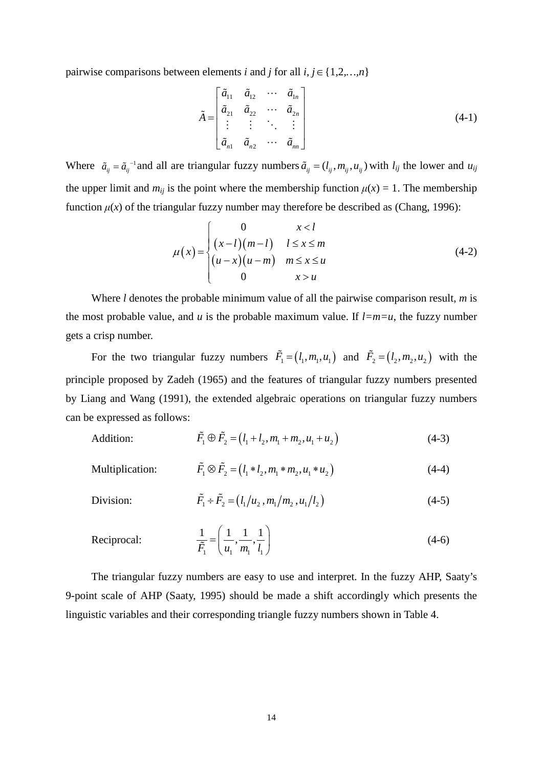pairwise comparisons between elements *i* and *j* for all  $i, j \in \{1, 2, ..., n\}$ 

$$
\tilde{A} = \begin{bmatrix} \tilde{a}_{11} & \tilde{a}_{12} & \cdots & \tilde{a}_{1n} \\ \tilde{a}_{21} & \tilde{a}_{22} & \cdots & \tilde{a}_{2n} \\ \vdots & \vdots & \ddots & \vdots \\ \tilde{a}_{n1} & \tilde{a}_{n2} & \cdots & \tilde{a}_{nn} \end{bmatrix} \tag{4-1}
$$

Where  $\tilde{a}_{ij} = \tilde{a}_{ij}^{-1}$  and all are triangular fuzzy numbers  $\tilde{a}_{ij} = (l_{ij}, m_{ij}, u_{ij})$  with  $l_{ij}$  the lower and  $u_{ij}$ the upper limit and  $m_{ij}$  is the point where the membership function  $\mu(x) = 1$ . The membership function  $\mu(x)$  of the triangular fuzzy number may therefore be described as (Chang, 1996):

$$
\mu(x) = \begin{cases}\n0 & x < l \\
(x-l)(m-l) & l \le x \le m \\
(u-x)(u-m) & m \le x \le u \\
0 & x > u\n\end{cases}
$$
\n(4-2)

Where *l* denotes the probable minimum value of all the pairwise comparison result, *m* is the most probable value, and *u* is the probable maximum value. If  $l=m=u$ , the fuzzy number gets a crisp number.

For the two triangular fuzzy numbers  $\tilde{F}_1 = (l_1, m_1, u_1)$  and  $\tilde{F}_2 = (l_2, m_2, u_2)$  with the principle proposed by Zadeh (1965) and the features of triangular fuzzy numbers presented by Liang and Wang (1991), the extended algebraic operations on triangular fuzzy numbers can be expressed as follows:

Addition:  
\n
$$
\tilde{F}_1 \oplus \tilde{F}_2 = (l_1 + l_2, m_1 + m_2, u_1 + u_2)
$$
\n(Multiplication:  
\n
$$
\tilde{F}_1 \otimes \tilde{F}_2 = (l_1 * l_2, m_1 * m_2, u_1 * u_2)
$$
\n(Division:  
\n
$$
\tilde{F}_1 \div \tilde{F}_2 = (l_1/u_2, m_1/m_2, u_1/l_2)
$$
\n(4-5)  
\nReciprocal:  
\n
$$
\frac{1}{\tilde{F}_1} = \left(\frac{1}{u_1}, \frac{1}{m_1}, \frac{1}{l_1}\right)
$$
\n(4-6)

The triangular fuzzy numbers are easy to use and interpret. In the fuzzy AHP, Saaty's 9-point scale of AHP (Saaty, 1995) should be made a shift accordingly which presents the linguistic variables and their corresponding triangle fuzzy numbers shown in Table 4.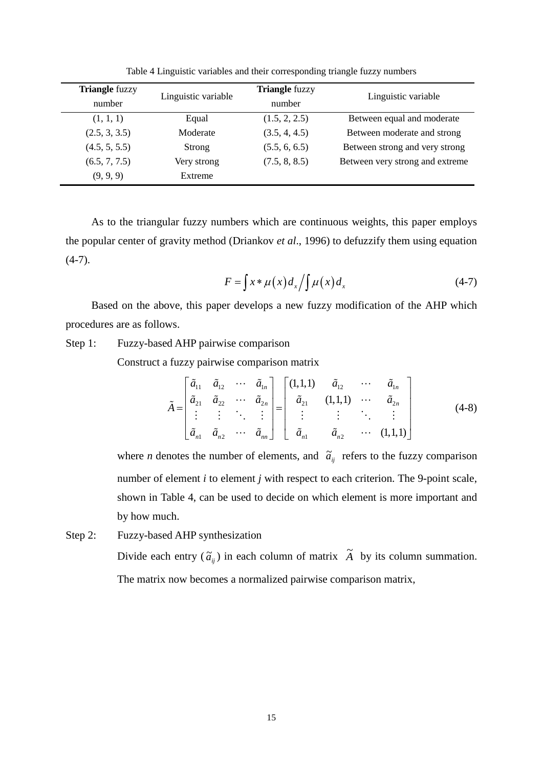| <b>Triangle fuzzy</b> |                     | <b>Triangle fuzzy</b> |                                 |  |
|-----------------------|---------------------|-----------------------|---------------------------------|--|
| number                | Linguistic variable | number                | Linguistic variable             |  |
| (1, 1, 1)             | Equal               | (1.5, 2, 2.5)         | Between equal and moderate      |  |
| (2.5, 3, 3.5)         | Moderate            | (3.5, 4, 4.5)         | Between moderate and strong     |  |
| (4.5, 5, 5.5)         | Strong              | (5.5, 6, 6.5)         | Between strong and very strong  |  |
| (6.5, 7, 7.5)         | Very strong         | (7.5, 8, 8.5)         | Between very strong and extreme |  |
| (9, 9, 9)             | Extreme             |                       |                                 |  |

Table 4 Linguistic variables and their corresponding triangle fuzzy numbers

As to the triangular fuzzy numbers which are continuous weights, this paper employs the popular center of gravity method (Driankov *et al*., 1996) to defuzzify them using equation  $(4-7)$ .

$$
F = \int x * \mu(x) d_x / \int \mu(x) d_x \tag{4-7}
$$

Based on the above, this paper develops a new fuzzy modification of the AHP which procedures are as follows.

#### Step 1: Fuzzy-based AHP pairwise comparison

Construct a fuzzy pairwise comparison matrix

$$
\tilde{A} = \begin{bmatrix} \tilde{a}_{11} & \tilde{a}_{12} & \cdots & \tilde{a}_{1n} \\ \tilde{a}_{21} & \tilde{a}_{22} & \cdots & \tilde{a}_{2n} \\ \vdots & \vdots & \ddots & \vdots \\ \tilde{a}_{n1} & \tilde{a}_{n2} & \cdots & \tilde{a}_{nn} \end{bmatrix} = \begin{bmatrix} (1,1,1) & \tilde{a}_{12} & \cdots & \tilde{a}_{1n} \\ \tilde{a}_{21} & (1,1,1) & \cdots & \tilde{a}_{2n} \\ \vdots & \vdots & \ddots & \vdots \\ \tilde{a}_{n1} & \tilde{a}_{n2} & \cdots & (1,1,1) \end{bmatrix}
$$
(4-8)

where *n* denotes the number of elements, and  $\tilde{a}_{ij}$  refers to the fuzzy comparison number of element *i* to element *j* with respect to each criterion. The 9-point scale, shown in Table 4, can be used to decide on which element is more important and by how much.

Step 2: Fuzzy-based AHP synthesization

Divide each entry  $(\tilde{a}_{ij})$  in each column of matrix  $\tilde{A}$  by its column summation. The matrix now becomes a normalized pairwise comparison matrix,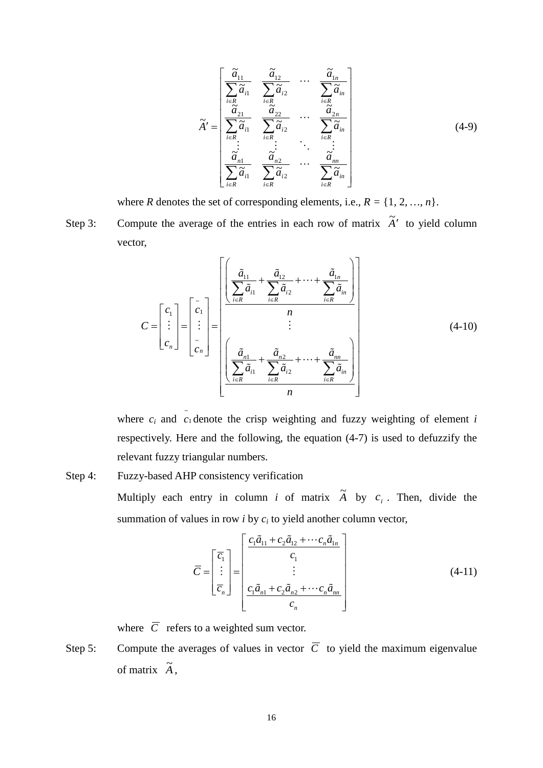$$
\tilde{A}' = \begin{bmatrix}\n\overline{\tilde{a}_{11}} & \overline{\tilde{a}_{12}} & \cdots & \overline{\tilde{a}_{1n}} \\
\overline{\sum_{i\in R} \tilde{a}_{i1}} & \overline{\sum_{i\in R} \tilde{a}_{i2}} & \cdots & \overline{\sum_{i\in R} \tilde{a}_{in}} \\
\overline{\tilde{a}_{21}} & \overline{\tilde{a}_{22}} & \cdots & \overline{\tilde{a}_{2n}} \\
\overline{\sum_{i\in R} \tilde{a}_{i1}} & \overline{\sum_{i\in R} \tilde{a}_{i2}} & \cdots & \overline{\sum_{i\in R} \tilde{a}_{in}} \\
\vdots & \vdots & \ddots & \vdots \\
\overline{\tilde{a}_{n1}} & \overline{\tilde{a}_{n2}} & \cdots & \overline{\tilde{a}_{nn}} \\
\overline{\sum_{i\in R} \tilde{a}_{i1}} & \overline{\sum_{i\in R} \tilde{a}_{i2}} & \cdots & \overline{\sum_{i\in R} \tilde{a}_{in}}\n\end{bmatrix}
$$
\n(4-9)

where *R* denotes the set of corresponding elements, i.e.,  $R = \{1, 2, ..., n\}$ .

Step 3: Compute the average of the entries in each row of matrix  $\tilde{A}'$  to yield column vector,

$$
C = \begin{bmatrix} c_1 \\ \vdots \\ c_n \end{bmatrix} = \begin{bmatrix} \tilde{c}_1 \\ \vdots \\ \tilde{c}_n \end{bmatrix} = \begin{bmatrix} \tilde{c}_1 \\ \vdots \\ \tilde{c}_n \end{bmatrix} = \begin{bmatrix} \tilde{a}_{11} \\ \vdots \\ \tilde{a}_{n1} \\ \vdots \\ \tilde{a}_{n1} \\ \vdots \\ \tilde{a}_{n1} \\ \vdots \\ \tilde{a}_{n2} \\ \tilde{a}_{n2} \\ \tilde{a}_{n2} \\ \tilde{a}_{n2} \\ \tilde{a}_{n2} \\ \tilde{a}_{n2} \end{bmatrix}
$$
\n
$$
(4-10)
$$

where  $c_i$  and  $\tilde{c}_1$  denote the crisp weighting and fuzzy weighting of element *i* respectively. Here and the following, the equation (4-7) is used to defuzzify the relevant fuzzy triangular numbers.

Step 4: Fuzzy-based AHP consistency verification

Multiply each entry in column *i* of matrix  $\tilde{A}$  by  $c_i$ . Then, divide the summation of values in row  $i$  by  $c_i$  to yield another column vector,

$$
\overline{C} = \begin{bmatrix} \overline{c}_1 \\ \vdots \\ \overline{c}_n \end{bmatrix} = \begin{bmatrix} \frac{c_1 \tilde{a}_{11} + c_2 \tilde{a}_{12} + \cdots c_n \tilde{a}_{1n}}{c_1} \\ \vdots \\ \frac{c_1 \tilde{a}_{n1} + c_2 \tilde{a}_{n2} + \cdots c_n \tilde{a}_{nn}}{c_n} \end{bmatrix}
$$
(4-11)

where  $\overline{C}$  refers to a weighted sum vector.

Step 5: Compute the averages of values in vector  $\overline{C}$  to yield the maximum eigenvalue of matrix  $\tilde{A}$ ,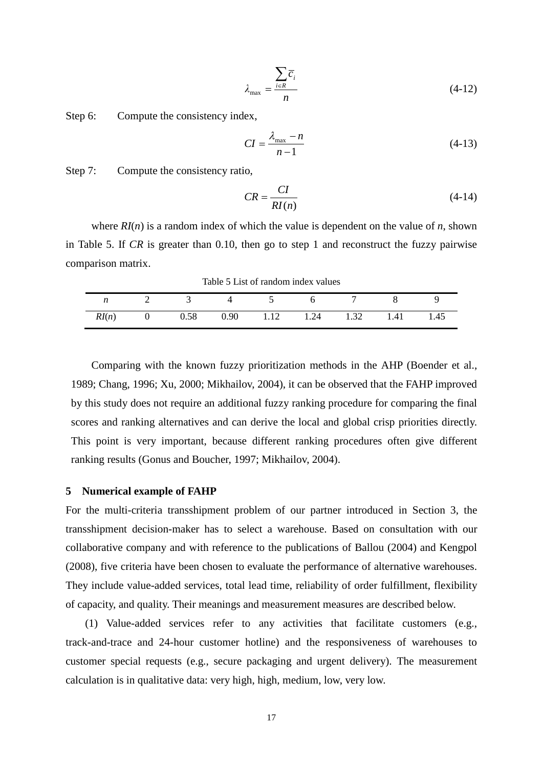$$
\lambda_{\max} = \frac{\sum_{i \in R} \overline{c}_i}{n}
$$
 (4-12)

Step 6: Compute the consistency index,

$$
CI = \frac{\lambda_{\text{max}} - n}{n - 1} \tag{4-13}
$$

Step 7: Compute the consistency ratio,

$$
CR = \frac{CI}{RI(n)}\tag{4-14}
$$

where  $RI(n)$  is a random index of which the value is dependent on the value of *n*, shown in Table 5. If *CR* is greater than 0.10, then go to step 1 and reconstruct the fuzzy pairwise comparison matrix.

Table 5 List of random index values

|                                              | n 2 3 4 5 6 7 8 9 |  |  |  |
|----------------------------------------------|-------------------|--|--|--|
| $RI(n)$ 0 0.58 0.90 1.12 1.24 1.32 1.41 1.45 |                   |  |  |  |

Comparing with the known fuzzy prioritization methods in the AHP (Boender et al., 1989; Chang, 1996; Xu, 2000; Mikhailov, 2004), it can be observed that the FAHP improved by this study does not require an additional fuzzy ranking procedure for comparing the final scores and ranking alternatives and can derive the local and global crisp priorities directly. This point is very important, because different ranking procedures often give different ranking results (Gonus and Boucher, 1997; Mikhailov, 2004).

#### **5 Numerical example of FAHP**

For the multi-criteria transshipment problem of our partner introduced in Section 3, the transshipment decision-maker has to select a warehouse. Based on consultation with our collaborative company and with reference to the publications of Ballou (2004) and Kengpol (2008), five criteria have been chosen to evaluate the performance of alternative warehouses. They include value-added services, total lead time, reliability of order fulfillment, flexibility of capacity, and quality. Their meanings and measurement measures are described below.

(1) Value-added services refer to any activities that facilitate customers (e.g., track-and-trace and 24-hour customer hotline) and the responsiveness of warehouses to customer special requests (e.g., secure packaging and urgent delivery). The measurement calculation is in qualitative data: very high, high, medium, low, very low.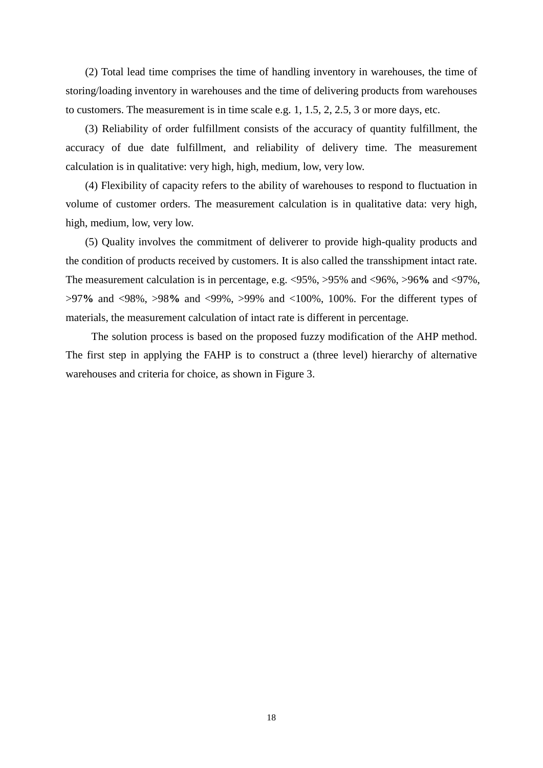(2) Total lead time comprises the time of handling inventory in warehouses, the time of storing/loading inventory in warehouses and the time of delivering products from warehouses to customers. The measurement is in time scale e.g. 1, 1.5, 2, 2.5, 3 or more days, etc.

(3) Reliability of order fulfillment consists of the accuracy of quantity fulfillment, the accuracy of due date fulfillment, and reliability of delivery time. The measurement calculation is in qualitative: very high, high, medium, low, very low.

(4) Flexibility of capacity refers to the ability of warehouses to respond to fluctuation in volume of customer orders. The measurement calculation is in qualitative data: very high, high, medium, low, very low.

(5) Quality involves the commitment of deliverer to provide high-quality products and the condition of products received by customers. It is also called the transshipment intact rate. The measurement calculation is in percentage, e.g. <95%, >95% and <96%, >96**%** and <97%, >97**%** and <98%, >98**%** and <99%, >99% and <100%, 100%. For the different types of materials, the measurement calculation of intact rate is different in percentage.

The solution process is based on the proposed fuzzy modification of the AHP method. The first step in applying the FAHP is to construct a (three level) hierarchy of alternative warehouses and criteria for choice, as shown in Figure 3.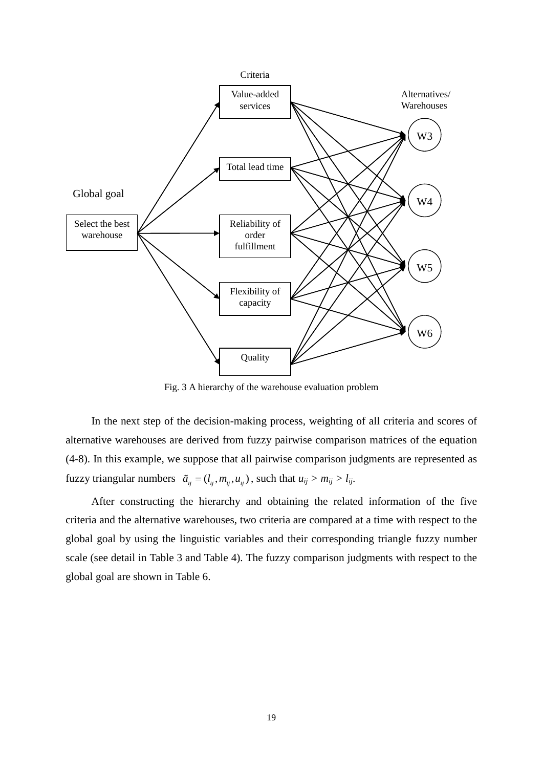

Fig. 3 A hierarchy of the warehouse evaluation problem

In the next step of the decision-making process, weighting of all criteria and scores of alternative warehouses are derived from fuzzy pairwise comparison matrices of the equation (4-8). In this example, we suppose that all pairwise comparison judgments are represented as fuzzy triangular numbers  $\tilde{a}_{ij} = (l_{ij}, m_{ij}, u_{ij})$ , such that  $u_{ij} > m_{ij} > l_{ij}$ .

After constructing the hierarchy and obtaining the related information of the five criteria and the alternative warehouses, two criteria are compared at a time with respect to the global goal by using the linguistic variables and their corresponding triangle fuzzy number scale (see detail in Table 3 and Table 4). The fuzzy comparison judgments with respect to the global goal are shown in Table 6.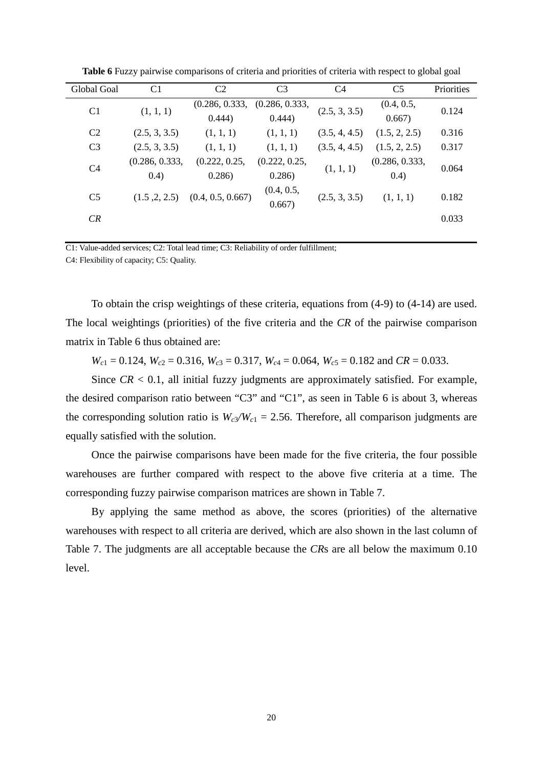| Global Goal    | C <sub>1</sub>          | C <sub>2</sub>           | C <sub>3</sub>           | C4            | C <sub>5</sub>          | Priorities |
|----------------|-------------------------|--------------------------|--------------------------|---------------|-------------------------|------------|
| C <sub>1</sub> | (1, 1, 1)               | (0.286, 0.333,<br>0.444) | (0.286, 0.333,<br>0.444) | (2.5, 3, 3.5) | (0.4, 0.5,<br>0.667)    | 0.124      |
| C <sub>2</sub> | (2.5, 3, 3.5)           | (1, 1, 1)                | (1, 1, 1)                | (3.5, 4, 4.5) | (1.5, 2, 2.5)           | 0.316      |
| C <sub>3</sub> | (2.5, 3, 3.5)           | (1, 1, 1)                | (1, 1, 1)                | (3.5, 4, 4.5) | (1.5, 2, 2.5)           | 0.317      |
| C <sub>4</sub> | (0.286, 0.333,<br>(0.4) | (0.222, 0.25,<br>0.286   | (0.222, 0.25,<br>0.286   | (1, 1, 1)     | (0.286, 0.333,<br>(0.4) | 0.064      |
| C <sub>5</sub> | (1.5, 2, 2.5)           | (0.4, 0.5, 0.667)        | (0.4, 0.5,<br>0.667)     | (2.5, 3, 3.5) | (1, 1, 1)               | 0.182      |
| CR             |                         |                          |                          |               |                         | 0.033      |

**Table 6** Fuzzy pairwise comparisons of criteria and priorities of criteria with respect to global goal

C1: Value-added services; C2: Total lead time; C3: Reliability of order fulfillment; C4: Flexibility of capacity; C5: Quality.

To obtain the crisp weightings of these criteria, equations from (4-9) to (4-14) are used. The local weightings (priorities) of the five criteria and the *CR* of the pairwise comparison matrix in Table 6 thus obtained are:

 $W_{c1} = 0.124$ ,  $W_{c2} = 0.316$ ,  $W_{c3} = 0.317$ ,  $W_{c4} = 0.064$ ,  $W_{c5} = 0.182$  and  $CR = 0.033$ .

Since  $CR < 0.1$ , all initial fuzzy judgments are approximately satisfied. For example, the desired comparison ratio between "C3" and "C1", as seen in Table 6 is about 3, whereas the corresponding solution ratio is  $W_c \sqrt[3]{W_c} = 2.56$ . Therefore, all comparison judgments are equally satisfied with the solution.

Once the pairwise comparisons have been made for the five criteria, the four possible warehouses are further compared with respect to the above five criteria at a time. The corresponding fuzzy pairwise comparison matrices are shown in Table 7.

By applying the same method as above, the scores (priorities) of the alternative warehouses with respect to all criteria are derived, which are also shown in the last column of Table 7. The judgments are all acceptable because the *CR*s are all below the maximum 0.10 level.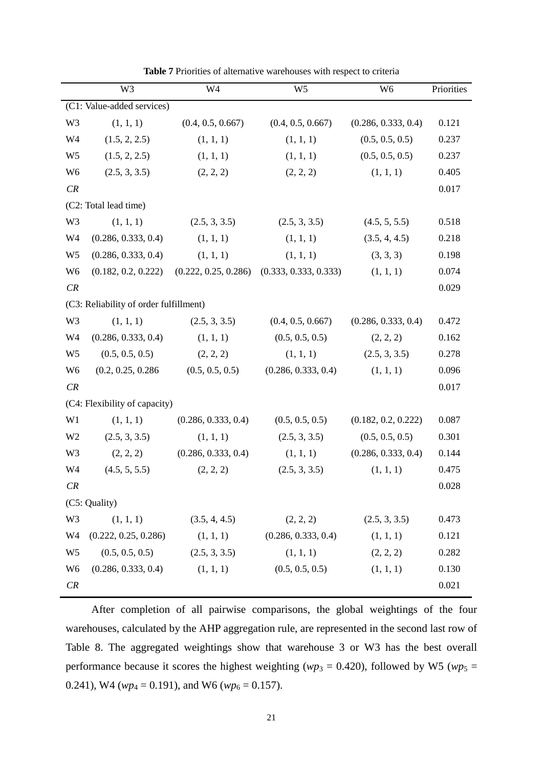|                | W <sub>3</sub>                         | W4                   | W <sub>5</sub>        | W <sub>6</sub>      | Priorities |
|----------------|----------------------------------------|----------------------|-----------------------|---------------------|------------|
|                | (C1: Value-added services)             |                      |                       |                     |            |
| W <sub>3</sub> | (1, 1, 1)                              | (0.4, 0.5, 0.667)    | (0.4, 0.5, 0.667)     | (0.286, 0.333, 0.4) | 0.121      |
| W <sub>4</sub> | (1.5, 2, 2.5)                          | (1, 1, 1)            | (1, 1, 1)             | (0.5, 0.5, 0.5)     | 0.237      |
| W <sub>5</sub> | (1.5, 2, 2.5)                          | (1, 1, 1)            | (1, 1, 1)             | (0.5, 0.5, 0.5)     | 0.237      |
| W <sub>6</sub> | (2.5, 3, 3.5)                          | (2, 2, 2)            | (2, 2, 2)             | (1, 1, 1)           | 0.405      |
| CR             |                                        |                      |                       |                     | 0.017      |
|                | (C2: Total lead time)                  |                      |                       |                     |            |
| W <sub>3</sub> | (1, 1, 1)                              | (2.5, 3, 3.5)        | (2.5, 3, 3.5)         | (4.5, 5, 5.5)       | 0.518      |
| W <sub>4</sub> | (0.286, 0.333, 0.4)                    | (1, 1, 1)            | (1, 1, 1)             | (3.5, 4, 4.5)       | 0.218      |
| W <sub>5</sub> | (0.286, 0.333, 0.4)                    | (1, 1, 1)            | (1, 1, 1)             | (3, 3, 3)           | 0.198      |
| W <sub>6</sub> | (0.182, 0.2, 0.222)                    | (0.222, 0.25, 0.286) | (0.333, 0.333, 0.333) | (1, 1, 1)           | 0.074      |
| CR             |                                        |                      |                       |                     | 0.029      |
|                | (C3: Reliability of order fulfillment) |                      |                       |                     |            |
| W <sub>3</sub> | (1, 1, 1)                              | (2.5, 3, 3.5)        | (0.4, 0.5, 0.667)     | (0.286, 0.333, 0.4) | 0.472      |
| W <sub>4</sub> | (0.286, 0.333, 0.4)                    | (1, 1, 1)            | (0.5, 0.5, 0.5)       | (2, 2, 2)           | 0.162      |
| W <sub>5</sub> | (0.5, 0.5, 0.5)                        | (2, 2, 2)            | (1, 1, 1)             | (2.5, 3, 3.5)       | 0.278      |
| W <sub>6</sub> | (0.2, 0.25, 0.286)                     | (0.5, 0.5, 0.5)      | (0.286, 0.333, 0.4)   | (1, 1, 1)           | 0.096      |
| CR             |                                        |                      |                       |                     | 0.017      |
|                | (C4: Flexibility of capacity)          |                      |                       |                     |            |
| W <sub>1</sub> | (1, 1, 1)                              | (0.286, 0.333, 0.4)  | (0.5, 0.5, 0.5)       | (0.182, 0.2, 0.222) | 0.087      |
| W <sub>2</sub> | (2.5, 3, 3.5)                          | (1, 1, 1)            | (2.5, 3, 3.5)         | (0.5, 0.5, 0.5)     | 0.301      |
| W <sub>3</sub> | (2, 2, 2)                              | (0.286, 0.333, 0.4)  | (1, 1, 1)             | (0.286, 0.333, 0.4) | 0.144      |
| W <sub>4</sub> | (4.5, 5, 5.5)                          | (2, 2, 2)            | (2.5, 3, 3.5)         | (1, 1, 1)           | 0.475      |
| CR             |                                        |                      |                       |                     | 0.028      |
|                | (C5: Quality)                          |                      |                       |                     |            |
| W <sub>3</sub> | (1, 1, 1)                              | (3.5, 4, 4.5)        | (2, 2, 2)             | (2.5, 3, 3.5)       | 0.473      |
| W <sub>4</sub> | (0.222, 0.25, 0.286)                   | (1, 1, 1)            | (0.286, 0.333, 0.4)   | (1, 1, 1)           | 0.121      |
| W <sub>5</sub> | (0.5, 0.5, 0.5)                        | (2.5, 3, 3.5)        | (1, 1, 1)             | (2, 2, 2)           | 0.282      |
| W <sub>6</sub> | (0.286, 0.333, 0.4)                    | (1, 1, 1)            | (0.5, 0.5, 0.5)       | (1, 1, 1)           | 0.130      |
| CR             |                                        |                      |                       |                     | 0.021      |

**Table 7** Priorities of alternative warehouses with respect to criteria

After completion of all pairwise comparisons, the global weightings of the four warehouses, calculated by the AHP aggregation rule, are represented in the second last row of Table 8. The aggregated weightings show that warehouse 3 or W3 has the best overall performance because it scores the highest weighting ( $wp_3 = 0.420$ ), followed by W5 ( $wp_5 =$ 0.241), W4 ( $wp_4$  = 0.191), and W6 ( $wp_6$  = 0.157).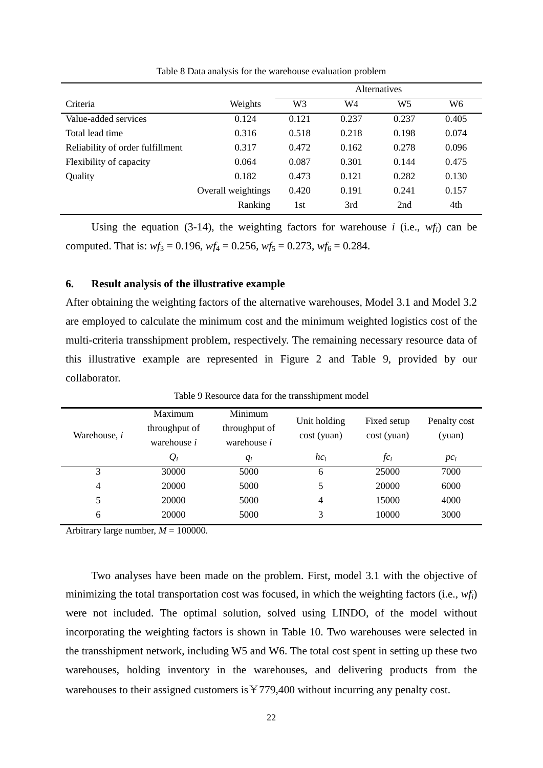|                                  |                    | <b>Alternatives</b> |       |                |       |  |
|----------------------------------|--------------------|---------------------|-------|----------------|-------|--|
| Criteria                         | Weights            | W <sub>3</sub>      | W4    | W <sub>5</sub> | W6    |  |
| Value-added services             | 0.124              | 0.121               | 0.237 | 0.237          | 0.405 |  |
| Total lead time                  | 0.316              | 0.518               | 0.218 | 0.198          | 0.074 |  |
| Reliability of order fulfillment | 0.317              | 0.472               | 0.162 | 0.278          | 0.096 |  |
| Flexibility of capacity          | 0.064              | 0.087               | 0.301 | 0.144          | 0.475 |  |
| Quality                          | 0.182              | 0.473               | 0.121 | 0.282          | 0.130 |  |
|                                  | Overall weightings | 0.420               | 0.191 | 0.241          | 0.157 |  |
|                                  | Ranking            | 1st                 | 3rd   | 2nd            | 4th   |  |

Table 8 Data analysis for the warehouse evaluation problem

Using the equation  $(3-14)$ , the weighting factors for warehouse *i* (i.e., *wf<sub>i</sub>*) can be computed. That is:  $wf_3 = 0.196$ ,  $wf_4 = 0.256$ ,  $wf_5 = 0.273$ ,  $wf_6 = 0.284$ .

#### **6. Result analysis of the illustrative example**

After obtaining the weighting factors of the alternative warehouses, Model 3.1 and Model 3.2 are employed to calculate the minimum cost and the minimum weighted logistics cost of the multi-criteria transshipment problem, respectively. The remaining necessary resource data of this illustrative example are represented in Figure 2 and Table 9, provided by our collaborator.

| Warehouse, <i>i</i> | Maximum<br>throughput of<br>warehouse <i>i</i><br>$Q_i$ | Minimum<br>throughput of<br>warehouse <i>i</i><br>$q_i$ | Unit holding<br>$cost$ (yuan)<br>$hc_i$ | Fixed setup<br>$cost$ (yuan)<br>$fc_i$ | Penalty cost<br>(yuan)<br>$pc_i$ |
|---------------------|---------------------------------------------------------|---------------------------------------------------------|-----------------------------------------|----------------------------------------|----------------------------------|
| 3                   | 30000                                                   | 5000                                                    | 6                                       | 25000                                  | 7000                             |
| $\overline{4}$      | 20000                                                   | 5000                                                    | 5                                       | 20000                                  | 6000                             |
| 5                   | 20000                                                   | 5000                                                    | 4                                       | 15000                                  | 4000                             |
| 6                   | 20000                                                   | 5000                                                    | 3                                       | 10000                                  | 3000                             |

Table 9 Resource data for the transshipment model

Arbitrary large number,  $M = 100000$ .

Two analyses have been made on the problem. First, model 3.1 with the objective of minimizing the total transportation cost was focused, in which the weighting factors (i.e., *wfi*) were not included. The optimal solution, solved using LINDO, of the model without incorporating the weighting factors is shown in Table 10. Two warehouses were selected in the transshipment network, including W5 and W6. The total cost spent in setting up these two warehouses, holding inventory in the warehouses, and delivering products from the warehouses to their assigned customers is  $Y779,400$  without incurring any penalty cost.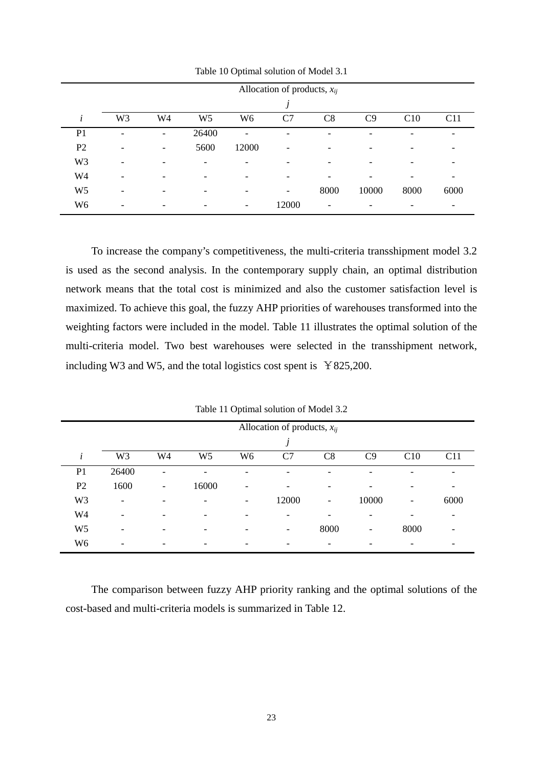|                | Allocation of products, $x_{ii}$ |                          |                          |                          |                          |                          |       |      |      |  |  |
|----------------|----------------------------------|--------------------------|--------------------------|--------------------------|--------------------------|--------------------------|-------|------|------|--|--|
|                |                                  |                          |                          |                          |                          |                          |       |      |      |  |  |
| $\dot{i}$      | W <sub>3</sub>                   | W4                       | W <sub>5</sub>           | W <sub>6</sub>           | C7                       | C8                       | C9    | C10  | C11  |  |  |
| P <sub>1</sub> | -                                | $\overline{\phantom{a}}$ | 26400                    | $\qquad \qquad$          |                          | $\overline{\phantom{0}}$ |       | ۰    |      |  |  |
| P <sub>2</sub> | $\overline{\phantom{0}}$         | $\overline{\phantom{a}}$ | 5600                     | 12000                    |                          | $\overline{\phantom{0}}$ |       |      |      |  |  |
| W <sub>3</sub> |                                  |                          |                          |                          |                          |                          |       |      |      |  |  |
| W4             |                                  |                          |                          |                          |                          |                          |       |      |      |  |  |
| W <sub>5</sub> |                                  |                          | $\overline{\phantom{a}}$ |                          | $\overline{\phantom{a}}$ | 8000                     | 10000 | 8000 | 6000 |  |  |
| W <sub>6</sub> | -                                | $\overline{\phantom{0}}$ | $\overline{\phantom{a}}$ | $\overline{\phantom{a}}$ | 12000                    | $\qquad \qquad$          |       | ۰    |      |  |  |

Table 10 Optimal solution of Model 3.1

To increase the company's competitiveness, the multi-criteria transshipment model 3.2 is used as the second analysis. In the contemporary supply chain, an optimal distribution network means that the total cost is minimized and also the customer satisfaction level is maximized. To achieve this goal, the fuzzy AHP priorities of warehouses transformed into the weighting factors were included in the model. Table 11 illustrates the optimal solution of the multi-criteria model. Two best warehouses were selected in the transshipment network, including W3 and W5*,* and the total logistics cost spent is ¥825,200.

|                | raote 11 Optimal solution of Model 3.2 |                          |                |                          |                          |                          |                          |                 |                 |  |  |  |
|----------------|----------------------------------------|--------------------------|----------------|--------------------------|--------------------------|--------------------------|--------------------------|-----------------|-----------------|--|--|--|
|                | Allocation of products, $x_{ij}$       |                          |                |                          |                          |                          |                          |                 |                 |  |  |  |
|                |                                        |                          |                |                          |                          |                          |                          |                 |                 |  |  |  |
| $\dot{i}$      | W <sub>3</sub>                         | W4                       | W <sub>5</sub> | W <sub>6</sub>           | C7                       | C8                       | C9                       | C10             | C <sub>11</sub> |  |  |  |
| P <sub>1</sub> | 26400                                  | $\overline{\phantom{a}}$ |                |                          |                          |                          |                          |                 |                 |  |  |  |
| P <sub>2</sub> | 1600                                   | $\overline{\phantom{a}}$ | 16000          |                          |                          |                          |                          |                 |                 |  |  |  |
| W <sub>3</sub> | $\overline{\phantom{a}}$               |                          |                | $\overline{\phantom{a}}$ | 12000                    | $\overline{\phantom{a}}$ | 10000                    | $\qquad \qquad$ | 6000            |  |  |  |
| W4             |                                        |                          |                |                          |                          |                          |                          |                 |                 |  |  |  |
| W <sub>5</sub> |                                        |                          |                |                          | $\overline{\phantom{a}}$ | 8000                     | $\overline{\phantom{a}}$ | 8000            |                 |  |  |  |
| W <sub>6</sub> |                                        |                          |                |                          |                          |                          |                          |                 |                 |  |  |  |

Table 11 Optimal solution of Model 3.2

The comparison between fuzzy AHP priority ranking and the optimal solutions of the cost-based and multi-criteria models is summarized in Table 12.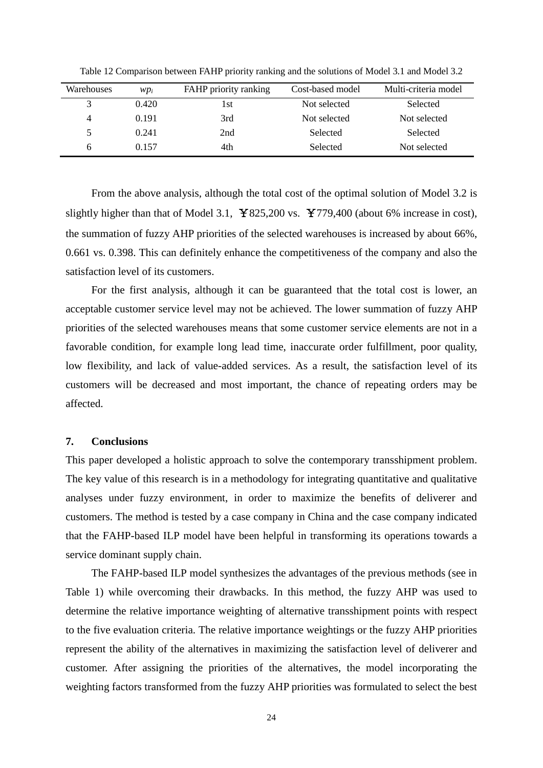| Warehouses   | $wp_i$ | FAHP priority ranking | Cost-based model | Multi-criteria model |
|--------------|--------|-----------------------|------------------|----------------------|
|              | 0.420  | 1st                   | Not selected     | Selected             |
| 4            | 0.191  | 3rd                   | Not selected     | Not selected         |
|              | 0.241  | 2nd                   | Selected         | Selected             |
| <sub>6</sub> | 0.157  | 4th                   | Selected         | Not selected         |

Table 12 Comparison between FAHP priority ranking and the solutions of Model 3.1 and Model 3.2

From the above analysis, although the total cost of the optimal solution of Model 3.2 is slightly higher than that of Model 3.1, ¥825,200 vs. ¥779,400 (about 6% increase in cost), the summation of fuzzy AHP priorities of the selected warehouses is increased by about 66%, 0.661 vs. 0.398. This can definitely enhance the competitiveness of the company and also the satisfaction level of its customers.

For the first analysis, although it can be guaranteed that the total cost is lower, an acceptable customer service level may not be achieved. The lower summation of fuzzy AHP priorities of the selected warehouses means that some customer service elements are not in a favorable condition, for example long lead time, inaccurate order fulfillment, poor quality, low flexibility, and lack of value-added services. As a result, the satisfaction level of its customers will be decreased and most important, the chance of repeating orders may be affected.

#### **7. Conclusions**

This paper developed a holistic approach to solve the contemporary transshipment problem. The key value of this research is in a methodology for integrating quantitative and qualitative analyses under fuzzy environment, in order to maximize the benefits of deliverer and customers. The method is tested by a case company in China and the case company indicated that the FAHP-based ILP model have been helpful in transforming its operations towards a service dominant supply chain.

The FAHP-based ILP model synthesizes the advantages of the previous methods (see in Table 1) while overcoming their drawbacks. In this method, the fuzzy AHP was used to determine the relative importance weighting of alternative transshipment points with respect to the five evaluation criteria. The relative importance weightings or the fuzzy AHP priorities represent the ability of the alternatives in maximizing the satisfaction level of deliverer and customer. After assigning the priorities of the alternatives, the model incorporating the weighting factors transformed from the fuzzy AHP priorities was formulated to select the best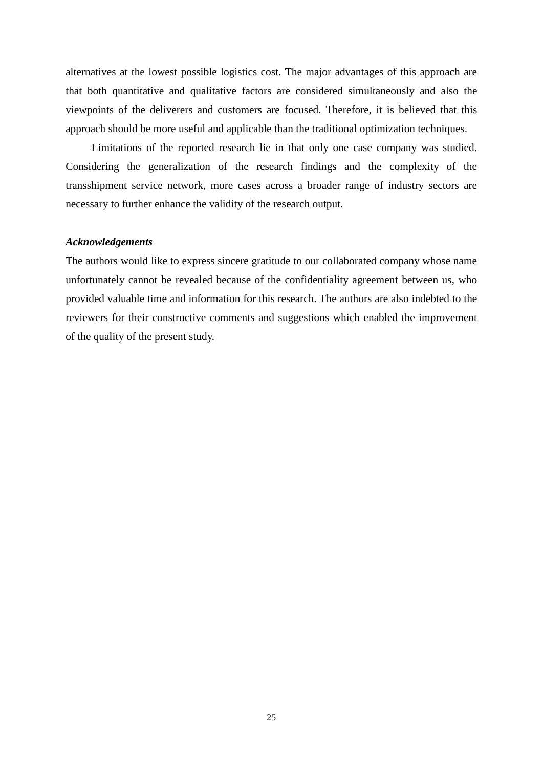alternatives at the lowest possible logistics cost. The major advantages of this approach are that both quantitative and qualitative factors are considered simultaneously and also the viewpoints of the deliverers and customers are focused. Therefore, it is believed that this approach should be more useful and applicable than the traditional optimization techniques.

Limitations of the reported research lie in that only one case company was studied. Considering the generalization of the research findings and the complexity of the transshipment service network, more cases across a broader range of industry sectors are necessary to further enhance the validity of the research output.

#### *Acknowledgements*

The authors would like to express sincere gratitude to our collaborated company whose name unfortunately cannot be revealed because of the confidentiality agreement between us, who provided valuable time and information for this research. The authors are also indebted to the reviewers for their constructive comments and suggestions which enabled the improvement of the quality of the present study.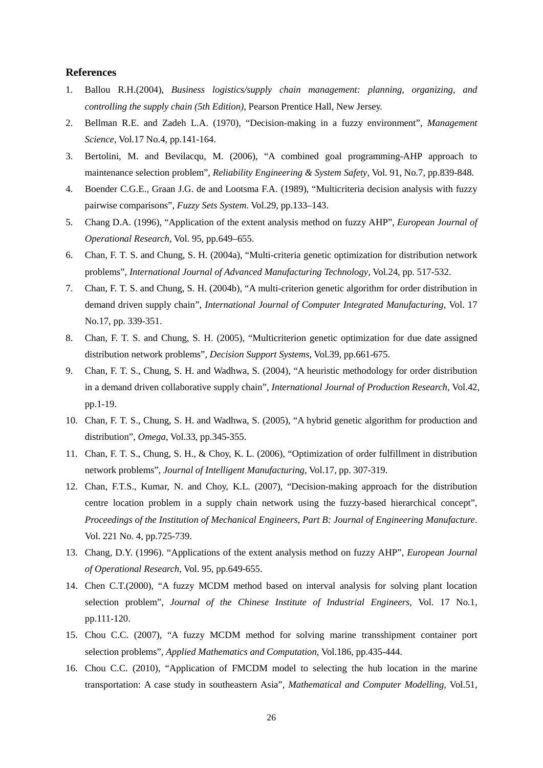#### **References**

- 1. Ballou R.H.(2004), *Business logistics/supply chain management: planning, organizing, and controlling the supply chain (5th Edition)*, Pearson Prentice Hall, New Jersey.
- 2. Bellman R.E. and Zadeh L.A. (1970), "Decision-making in a fuzzy environment", *Management Science*, Vol.17 No.4, pp.141-164.
- 3. Bertolini, M. and Bevilacqu, M. (2006), "A combined goal programming-AHP approach to maintenance selection problem", *Reliability Engineering & System Safety*, Vol. 91, No.7, pp.839-848.
- 4. Boender C.G.E., Graan J.G. de and Lootsma F.A. (1989), "Multicriteria decision analysis with fuzzy pairwise comparisons", *Fuzzy Sets System*. Vol.29, pp.133–143.
- 5. Chang D.A. (1996), "Application of the extent analysis method on fuzzy AHP", *European Journal of Operational Research*, Vol. 95, pp.649–655.
- 6. Chan, F. T. S. and Chung, S. H. (2004a), "Multi-criteria genetic optimization for distribution network problems", *International Journal of Advanced Manufacturing Technology*, Vol.24, pp. 517-532.
- 7. Chan, F. T. S. and Chung, S. H. (2004b), "A multi-criterion genetic algorithm for order distribution in demand driven supply chain", *International Journal of Computer Integrated Manufacturing*, [Vol. 17](http://www.informaworld.com/smpp/title%7Edb=all%7Econtent=t713804665%7Etab=issueslist%7Ebranches=17%23v17) No.17, pp. 339-351.
- 8. Chan, F. T. S. and Chung, S. H. (2005), "Multicriterion genetic optimization for due date assigned distribution network problems", *Decision Support Systems*, Vol.39, pp.661-675.
- 9. Chan, F. T. S., Chung, S. H. and Wadhwa, S. (2004), "A heuristic methodology for order distribution in a demand driven collaborative supply chain", *International Journal of Production Research*, Vol.42, pp.1-19.
- 10. Chan, F. T. S., Chung, S. H. and Wadhwa, S. (2005), "A hybrid genetic algorithm for production and distribution", *Omega*, Vol.33, pp.345-355.
- 11. Chan, F. T. S., Chung, S. H., & Choy, K. L. (2006), "Optimization of order fulfillment in distribution network problems", *Journal of Intelligent Manufacturing*, Vol.17, pp. 307-319.
- 12. Chan, F.T.S., Kumar, N. and Choy, K.L. (2007), "Decision-making approach for the distribution centre location problem in a supply chain network using the fuzzy-based hierarchical concept", *Proceedings of the Institution of Mechanical Engineers, Part B: Journal of Engineering Manufacture*. [Vol. 221 No. 4, p](http://journals.pepublishing.com/content/u0khu6274306/?p=609f81e914f249f2be9fdbf3a283dacf&pi=0)p.725-739.
- 13. Chang, D.Y. (1996). "Applications of the extent analysis method on fuzzy AHP", *European Journal of Operational Research,* Vol. 95, pp.649-655.
- 14. Chen C.T.(2000), "A fuzzy MCDM method based on interval analysis for solving plant location selection problem", *Journal of the Chinese Institute of Industrial Engineers,* Vol. 17 No.1, pp.111-120.
- 15. Chou C.C. (2007), "A fuzzy MCDM method for solving marine transshipment container port selection problems", *Applied Mathematics and Computation*, Vol.186, pp.435-444.
- 16. Chou C.C. (2010), "Application of FMCDM model to selecting the hub location in the marine transportation: A case study in southeastern Asia", *[Mathematical and Computer Modelling](http://www.sciencedirect.com/science/journal/08957177)*, Vol.51,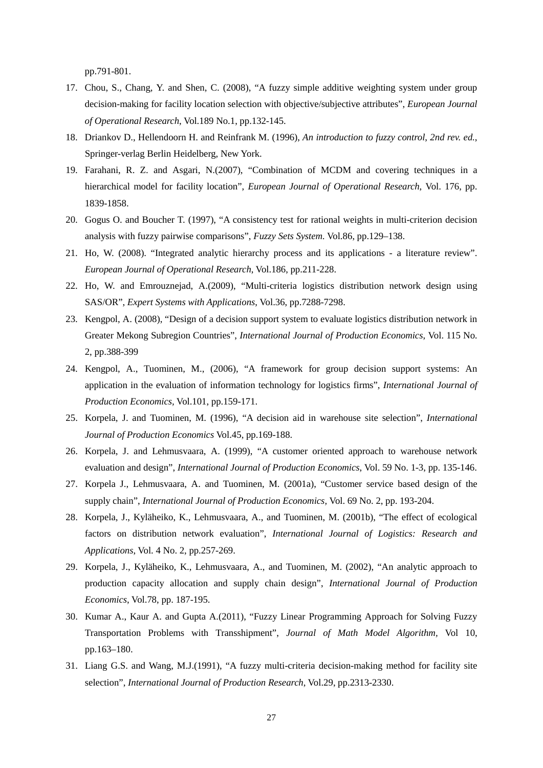pp.791-801.

- 17. Chou, S., Chang, Y. and Shen, C. (2008), ["A fuzzy simple additive weighting system under group](http://www.sciencedirect.com/science?_ob=ArticleURL&_udi=B6VCT-4NR18BR-6&_user=9368376&_coverDate=08%2F16%2F2008&_alid=1709098708&_rdoc=11&_fmt=high&_orig=search&_origin=search&_zone=rslt_list_item&_cdi=5963&_sort=d&_st=5&_docanchor=&_ct=15&_acct=C000056861&_version=1&_urlVersion=0&_userid=9368376&md5=b00e75482ab63bd0d894c1a51f7ba985&searchtype=a)  [decision-making for facility location selection with objective/subjective attributes"](http://www.sciencedirect.com/science?_ob=ArticleURL&_udi=B6VCT-4NR18BR-6&_user=9368376&_coverDate=08%2F16%2F2008&_alid=1709098708&_rdoc=11&_fmt=high&_orig=search&_origin=search&_zone=rslt_list_item&_cdi=5963&_sort=d&_st=5&_docanchor=&_ct=15&_acct=C000056861&_version=1&_urlVersion=0&_userid=9368376&md5=b00e75482ab63bd0d894c1a51f7ba985&searchtype=a), *European Journal of Operational Research*, Vol.189 No.1, pp.132-145.
- 18. Driankov D., Hellendoorn H. and Reinfrank M. (1996), *An introduction to fuzzy control*, *2nd rev. ed.*, Springer-verlag Berlin Heidelberg, New York.
- 19. Farahani, R. Z. and Asgari, N.(2007), "Combination of MCDM and covering techniques in a hierarchical model for facility location", *European Journal of Operational Research*, Vol. 176, pp. 1839-1858.
- 20. Gogus O. and Boucher T. (1997), "A consistency test for rational weights in multi-criterion decision analysis with fuzzy pairwise comparisons", *Fuzzy Sets System.* Vol.86, pp.129–138.
- 21. Ho, W. (2008). "Integrated analytic hierarchy process and its applications a literature review". *European Journal of Operational Research*, Vol.186, pp.211-228.
- 22. Ho, W. and Emrouznejad, A.(2009), "Multi-criteria logistics distribution network design using SAS/OR", *Expert Systems with Applications*, Vol.36, pp.7288-7298.
- 23. Kengpol, A. (2008), "Design of a decision support system to evaluate logistics distribution network in Greater Mekong Subregion Countries", *International Journal of Production Economics*, Vol. 115 No. 2, pp.388-399
- 24. Kengpol, A., Tuominen, M., (2006), "A framework for group decision support systems: An application in the evaluation of information technology for logistics firms", *International Journal of Production Economics,* Vol.101, pp.159-171.
- 25. Korpela, J. and Tuominen, M. (1996), "A decision aid in warehouse site selection", *International Journal of Production Economics* Vol.45, pp.169-188.
- 26. Korpela, J. and Lehmusvaara, A. (1999), "A customer oriented approach to warehouse network evaluation and design", *International Journal of Production Economics*, Vol. 59 No. 1-3, pp. 135-146.
- 27. Korpela J., Lehmusvaara, A. and Tuominen, M. (2001a), "Customer service based design of the supply chain", *International Journal of Production Economics,* Vol. 69 No. 2, pp. 193-204.
- 28. Korpela, J., Kyläheiko, K., Lehmusvaara, A., and Tuominen, M. (2001b), "The effect of ecological factors on distribution network evaluation", *International Journal of Logistics: Research and Applications*, Vol. 4 No. 2, pp.257-269.
- 29. Korpela, J., Kyläheiko, K., Lehmusvaara, A., and Tuominen, M. (2002), "An analytic approach to production capacity allocation and supply chain design", *International Journal of Production Economics*, Vol.78, pp. 187-195.
- 30. Kumar A., Kaur A. and Gupta A.(2011), "Fuzzy Linear Programming Approach for Solving Fuzzy Transportation Problems with Transshipment", *Journal of Math Model Algorithm,* Vol 10, pp.163–180.
- 31. Liang G.S. and Wang, M.J.(1991), "A fuzzy multi-criteria decision-making method for facility site selection", *International Journal of Production Research*, Vol.29, pp.2313-2330.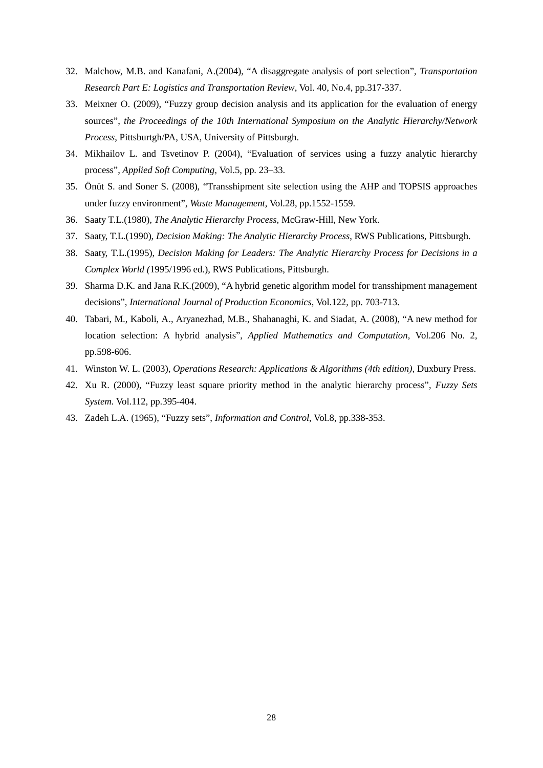- 32. Malchow, M.B. and Kanafani, A.(2004), "A disaggregate analysis of port selection", *Transportation Research Part E: Logistics and Transportation Review*, Vol. 40, No.4, pp.317-337.
- 33. Meixner O. (2009), "Fuzzy group decision analysis and its application for the evaluation of energy sources", *the Proceedings of the 10th International Symposium on the Analytic Hierarchy/Network Process*, Pittsburtgh/PA, USA, University of Pittsburgh.
- 34. Mikhailov L. and Tsvetinov P. (2004), "Evaluation of services using a fuzzy analytic hierarchy process", *Applied Soft Computing,* Vol.5, pp. 23–33.
- 35. Önüt S. and Soner S. (2008), "Transshipment site selection using the AHP and TOPSIS approaches under fuzzy environment", *Waste Management*, Vol.28, pp.1552-1559.
- 36. Saaty T.L.(1980), *The Analytic Hierarchy Process*, McGraw-Hill, New York.
- 37. Saaty, T.L.(1990), *Decision Making: The Analytic Hierarchy Process*, RWS Publications, Pittsburgh.
- 38. Saaty, T.L.(1995), *Decision Making for Leaders: The Analytic Hierarchy Process for Decisions in a Complex World (*1995/1996 ed.), RWS Publications, Pittsburgh.
- 39. Shar[ma](http://www.sciencedirect.com/science?_ob=ArticleURL&_udi=B6VF8-4WPTXMG-2&_user=9368376&_coverDate=12%2F31%2F2009&_alid=1416787819&_rdoc=18&_fmt=high&_orig=search&_cdi=6004&_sort=d&_docanchor=&view=c&_ct=49&_acct=C000050221&_version=1&_urlVersion=0&_userid=9368376&md5=523817c237f93e8c5a4bebdc42f9de97%23aff1) D.K. and Jana R.K.(2009), "A hybrid genetic algorithm model for transshipment management decisions", *[International Journal of Production Economics](http://www.sciencedirect.com/science/journal/09255273)*, Vol.122, pp. 703-713.
- 40. Tabari, M., Kaboli, A., Aryanezhad, M.B., Shahanaghi, K. and Siadat, A. (2008), ["A new method for](http://www.sciencedirect.com/science?_ob=ArticleURL&_udi=B6TY8-4SM62BC-5&_user=9368376&_coverDate=12%2F15%2F2008&_alid=1709098708&_rdoc=8&_fmt=high&_orig=search&_origin=search&_zone=rslt_list_item&_cdi=5612&_sort=d&_st=5&_docanchor=&_ct=15&_acct=C000056861&_version=1&_urlVersion=0&_userid=9368376&md5=64dcc4b910b2b7f298ac57dae8e37fcb&searchtype=a)  [location selection: A hybrid analysis"](http://www.sciencedirect.com/science?_ob=ArticleURL&_udi=B6TY8-4SM62BC-5&_user=9368376&_coverDate=12%2F15%2F2008&_alid=1709098708&_rdoc=8&_fmt=high&_orig=search&_origin=search&_zone=rslt_list_item&_cdi=5612&_sort=d&_st=5&_docanchor=&_ct=15&_acct=C000056861&_version=1&_urlVersion=0&_userid=9368376&md5=64dcc4b910b2b7f298ac57dae8e37fcb&searchtype=a), *Applied Mathematics and Computation*, Vol.206 No. 2, pp.598-606.
- 41. Winston W. L. (2003), *Operations Research: Applications & Algorithms (4th edition),* Duxbury Press.
- 42. Xu R. (2000), "Fuzzy least square priority method in the analytic hierarchy process", *Fuzzy Sets System.* Vol.112, pp.395-404.
- 43. Zadeh L.A. (1965), "Fuzzy sets", *Information and Control*, Vol.8, pp.338-353.